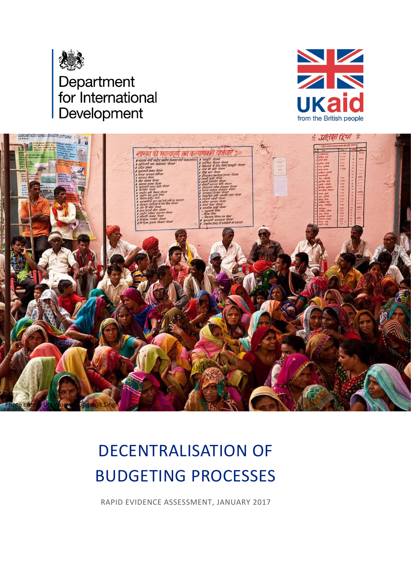





# DECENTRALISATION OF BUDGETING PROCESSES

RAPID EVIDENCE ASSESSMENT, JANUARY 2017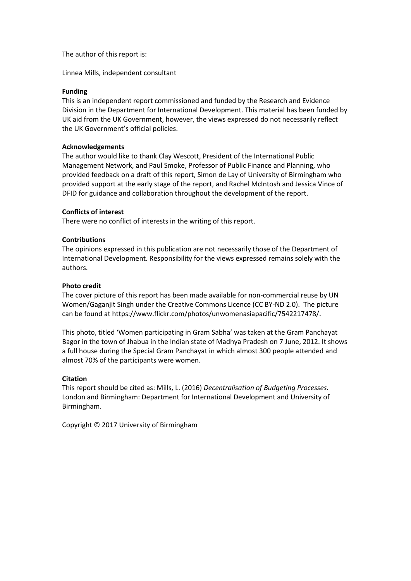The author of this report is:

Linnea Mills, independent consultant

#### **Funding**

This is an independent report commissioned and funded by the Research and Evidence Division in the Department for International Development. This material has been funded by UK aid from the UK Government, however, the views expressed do not necessarily reflect the UK Government's official policies.

#### **Acknowledgements**

The author would like to thank Clay Wescott, President of the International Public Management Network, and Paul Smoke, Professor of Public Finance and Planning, who provided feedback on a draft of this report, Simon de Lay of University of Birmingham who provided support at the early stage of the report, and Rachel McIntosh and Jessica Vince of DFID for guidance and collaboration throughout the development of the report.

#### **Conflicts of interest**

There were no conflict of interests in the writing of this report.

#### **Contributions**

The opinions expressed in this publication are not necessarily those of the Department of International Development. Responsibility for the views expressed remains solely with the authors.

#### **Photo credit**

The cover picture of this report has been made available for non-commercial reuse by UN Women/Gaganjit Singh under the Creative Commons Licence (CC BY-ND 2.0). The picture can be found at https://www.flickr.com/photos/unwomenasiapacific/7542217478/.

This photo, titled 'Women participating in Gram Sabha' was taken at the Gram Panchayat Bagor in the town of Jhabua in the Indian state of Madhya Pradesh on 7 June, 2012. It shows a full house during the Special Gram Panchayat in which almost 300 people attended and almost 70% of the participants were women.

#### **Citation**

This report should be cited as: Mills, L. (2016) *Decentralisation of Budgeting Processes.* London and Birmingham: Department for International Development and University of Birmingham.

Copyright © 2017 University of Birmingham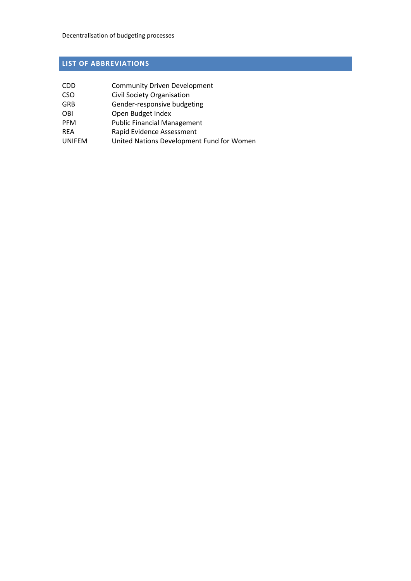# <span id="page-2-0"></span>**LIST OF ABBREVIATIONS**

| <b>CDD</b>    | <b>Community Driven Development</b>       |
|---------------|-------------------------------------------|
| <b>CSO</b>    | <b>Civil Society Organisation</b>         |
| <b>GRB</b>    | Gender-responsive budgeting               |
| <b>OBI</b>    | Open Budget Index                         |
| <b>PFM</b>    | <b>Public Financial Management</b>        |
| <b>REA</b>    | Rapid Evidence Assessment                 |
| <b>UNIFEM</b> | United Nations Development Fund for Women |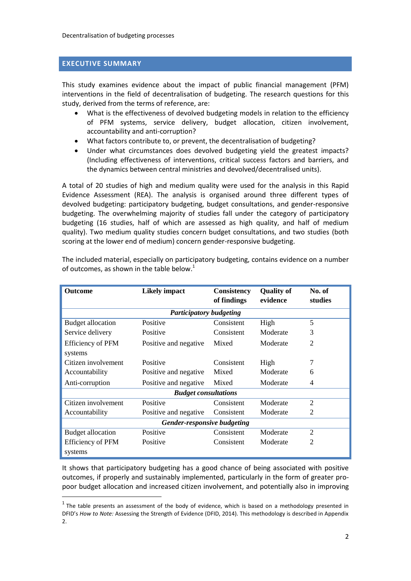#### <span id="page-3-0"></span>**EXECUTIVE SUMMARY**

<u>.</u>

This study examines evidence about the impact of public financial management (PFM) interventions in the field of decentralisation of budgeting. The research questions for this study, derived from the terms of reference, are:

- What is the effectiveness of devolved budgeting models in relation to the efficiency of PFM systems, service delivery, budget allocation, citizen involvement, accountability and anti-corruption?
- What factors contribute to, or prevent, the decentralisation of budgeting?
- Under what circumstances does devolved budgeting yield the greatest impacts? (Including effectiveness of interventions, critical success factors and barriers, and the dynamics between central ministries and devolved/decentralised units).

A total of 20 studies of high and medium quality were used for the analysis in this Rapid Evidence Assessment (REA). The analysis is organised around three different types of devolved budgeting: participatory budgeting, budget consultations, and gender-responsive budgeting. The overwhelming majority of studies fall under the category of participatory budgeting (16 studies, half of which are assessed as high quality, and half of medium quality). Two medium quality studies concern budget consultations, and two studies (both scoring at the lower end of medium) concern gender-responsive budgeting.

| <b>Outcome</b>                           | <b>Likely impact</b>           | Consistency | <b>Quality of</b><br>evidence | No. of<br>studies |  |
|------------------------------------------|--------------------------------|-------------|-------------------------------|-------------------|--|
|                                          |                                | of findings |                               |                   |  |
|                                          | <b>Participatory budgeting</b> |             |                               |                   |  |
| <b>Budget allocation</b>                 | Positive                       | Consistent  | High                          | 5                 |  |
| Service delivery                         | Positive                       | Consistent  | Moderate                      | 3                 |  |
| <b>Efficiency of PFM</b>                 | Positive and negative          | Mixed       | Moderate                      | $\mathfrak{D}$    |  |
| systems                                  |                                |             |                               |                   |  |
| Citizen involvement                      | Positive                       | Consistent  | High                          | 7                 |  |
| Accountability                           | Positive and negative          | Mixed       | Moderate                      | 6                 |  |
| Positive and negative<br>Anti-corruption |                                | Mixed       | Moderate                      | 4                 |  |
|                                          | <b>Budget consultations</b>    |             |                               |                   |  |
| Citizen involvement                      | Positive                       | Consistent  | Moderate                      | $\overline{2}$    |  |
| Accountability                           | Positive and negative          | Consistent  | Moderate                      | 2                 |  |
| Gender-responsive budgeting              |                                |             |                               |                   |  |
| <b>Budget allocation</b>                 | Positive                       | Consistent  | Moderate                      | 2                 |  |
| <b>Efficiency of PFM</b>                 | Positive                       | Consistent  | Moderate                      | $\overline{2}$    |  |
| systems                                  |                                |             |                               |                   |  |

The included material, especially on participatory budgeting, contains evidence on a number of outcomes, as shown in the table below.<sup>1</sup>

It shows that participatory budgeting has a good chance of being associated with positive outcomes, if properly and sustainably implemented, particularly in the form of greater propoor budget allocation and increased citizen involvement, and potentially also in improving

 $<sup>1</sup>$  The table presents an assessment of the body of evidence, which is based on a methodology presented in</sup> DFID's *How to Note:* Assessing the Strength of Evidence (DFID, 2014). This methodology is described in Appendix 2.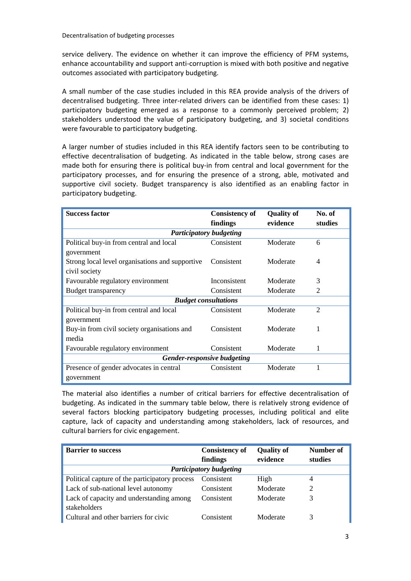service delivery. The evidence on whether it can improve the efficiency of PFM systems, enhance accountability and support anti-corruption is mixed with both positive and negative outcomes associated with participatory budgeting.

A small number of the case studies included in this REA provide analysis of the drivers of decentralised budgeting. Three inter-related drivers can be identified from these cases: 1) participatory budgeting emerged as a response to a commonly perceived problem; 2) stakeholders understood the value of participatory budgeting, and 3) societal conditions were favourable to participatory budgeting.

A larger number of studies included in this REA identify factors seen to be contributing to effective decentralisation of budgeting. As indicated in the table below, strong cases are made both for ensuring there is political buy-in from central and local government for the participatory processes, and for ensuring the presence of a strong, able, motivated and supportive civil society. Budget transparency is also identified as an enabling factor in participatory budgeting.

| <b>Success factor</b>                           | <b>Consistency of</b> | <b>Quality of</b> | No. of         |  |  |
|-------------------------------------------------|-----------------------|-------------------|----------------|--|--|
|                                                 | findings              | evidence          | studies        |  |  |
| <b>Participatory budgeting</b>                  |                       |                   |                |  |  |
| Political buy-in from central and local         | Consistent            | Moderate          | 6              |  |  |
| government                                      |                       |                   |                |  |  |
| Strong local level organisations and supportive | Consistent            | Moderate          | $\overline{4}$ |  |  |
| civil society                                   |                       |                   |                |  |  |
| Favourable regulatory environment               | Inconsistent          | Moderate          | 3              |  |  |
| <b>Budget transparency</b>                      | Consistent            | Moderate          | $\overline{2}$ |  |  |
| <b>Budget consultations</b>                     |                       |                   |                |  |  |
| Political buy-in from central and local         | Consistent            | Moderate          | $\overline{2}$ |  |  |
| government                                      |                       |                   |                |  |  |
| Buy-in from civil society organisations and     | Consistent            | Moderate          | 1              |  |  |
| media                                           |                       |                   |                |  |  |
| Favourable regulatory environment               | Consistent            | Moderate          | 1              |  |  |
| Gender-responsive budgeting                     |                       |                   |                |  |  |
| Presence of gender advocates in central         | Consistent            | Moderate          | 1              |  |  |
| government                                      |                       |                   |                |  |  |

The material also identifies a number of critical barriers for effective decentralisation of budgeting. As indicated in the summary table below, there is relatively strong evidence of several factors blocking participatory budgeting processes, including political and elite capture, lack of capacity and understanding among stakeholders, lack of resources, and cultural barriers for civic engagement.

| <b>Barrier to success</b>                      | <b>Consistency of</b><br>findings | <b>Quality of</b><br>evidence | Number of<br>studies |
|------------------------------------------------|-----------------------------------|-------------------------------|----------------------|
|                                                | <b>Participatory budgeting</b>    |                               |                      |
| Political capture of the participatory process | Consistent                        | High                          | 4                    |
| Lack of sub-national level autonomy            | Consistent                        | Moderate                      | 2                    |
| Lack of capacity and understanding among       | Consistent                        | Moderate                      | 3                    |
| stakeholders                                   |                                   |                               |                      |
| Cultural and other barriers for civic          | Consistent                        | Moderate                      | 3                    |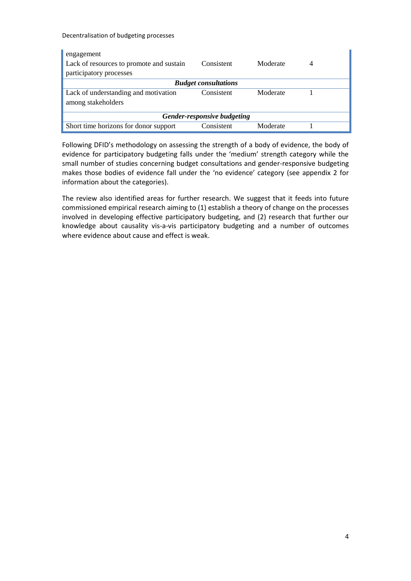| engagement                               |                             |          |   |  |
|------------------------------------------|-----------------------------|----------|---|--|
| Lack of resources to promote and sustain | Consistent                  | Moderate | 4 |  |
| participatory processes                  |                             |          |   |  |
|                                          | <b>Budget consultations</b> |          |   |  |
| Lack of understanding and motivation     | Consistent                  | Moderate |   |  |
| among stakeholders                       |                             |          |   |  |
| Gender-responsive budgeting              |                             |          |   |  |
| Short time horizons for donor support    | Consistent                  | Moderate |   |  |

Following DFID's methodology on assessing the strength of a body of evidence, the body of evidence for participatory budgeting falls under the 'medium' strength category while the small number of studies concerning budget consultations and gender-responsive budgeting makes those bodies of evidence fall under the 'no evidence' category (see appendix 2 for information about the categories).

The review also identified areas for further research. We suggest that it feeds into future commissioned empirical research aiming to (1) establish a theory of change on the processes involved in developing effective participatory budgeting, and (2) research that further our knowledge about causality vis-a-vis participatory budgeting and a number of outcomes where evidence about cause and effect is weak.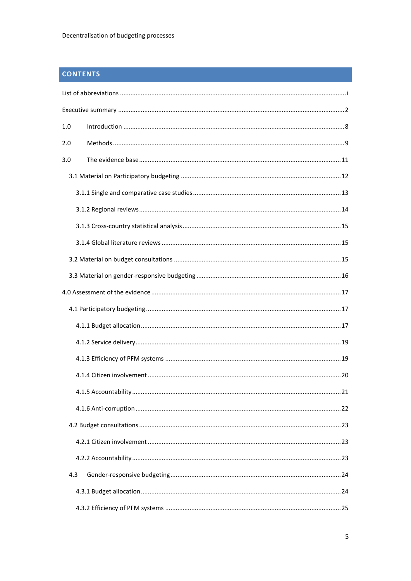# **CONTENTS**

| 1.0 |  |
|-----|--|
| 2.0 |  |
| 3.0 |  |
|     |  |
|     |  |
|     |  |
|     |  |
|     |  |
|     |  |
|     |  |
|     |  |
|     |  |
|     |  |
|     |  |
|     |  |
|     |  |
|     |  |
|     |  |
|     |  |
|     |  |
|     |  |
| 4.3 |  |
|     |  |
|     |  |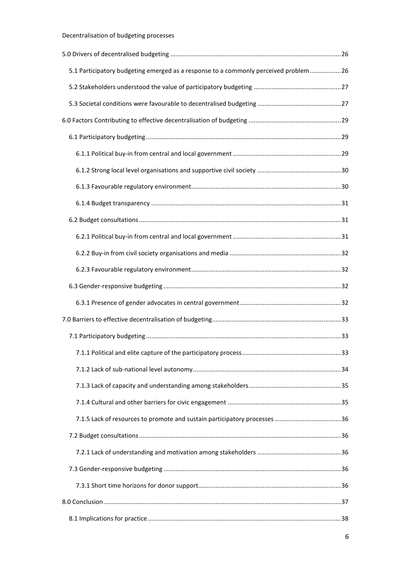| 5.1 Participatory budgeting emerged as a response to a commonly perceived problem 26 |  |
|--------------------------------------------------------------------------------------|--|
|                                                                                      |  |
|                                                                                      |  |
|                                                                                      |  |
|                                                                                      |  |
|                                                                                      |  |
|                                                                                      |  |
|                                                                                      |  |
|                                                                                      |  |
|                                                                                      |  |
|                                                                                      |  |
|                                                                                      |  |
|                                                                                      |  |
|                                                                                      |  |
|                                                                                      |  |
|                                                                                      |  |
|                                                                                      |  |
|                                                                                      |  |
|                                                                                      |  |
|                                                                                      |  |
|                                                                                      |  |
|                                                                                      |  |
|                                                                                      |  |
|                                                                                      |  |
|                                                                                      |  |
|                                                                                      |  |
|                                                                                      |  |
|                                                                                      |  |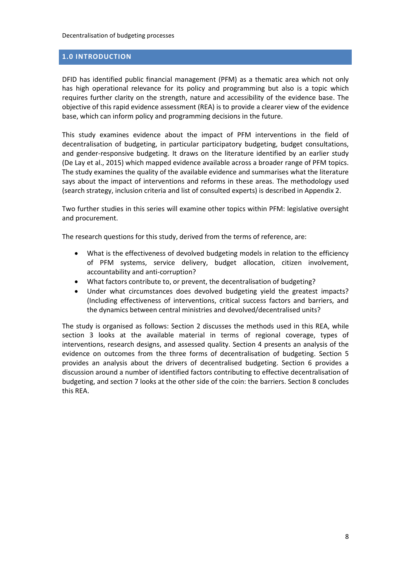#### <span id="page-9-0"></span>**1.0 INTRODUCTION**

DFID has identified public financial management (PFM) as a thematic area which not only has high operational relevance for its policy and programming but also is a topic which requires further clarity on the strength, nature and accessibility of the evidence base. The objective of this rapid evidence assessment (REA) is to provide a clearer view of the evidence base, which can inform policy and programming decisions in the future.

This study examines evidence about the impact of PFM interventions in the field of decentralisation of budgeting, in particular participatory budgeting, budget consultations, and gender-responsive budgeting. It draws on the literature identified by an earlier study (De Lay et al., 2015) which mapped evidence available across a broader range of PFM topics. The study examines the quality of the available evidence and summarises what the literature says about the impact of interventions and reforms in these areas. The methodology used (search strategy, inclusion criteria and list of consulted experts) is described in Appendix 2.

Two further studies in this series will examine other topics within PFM: legislative oversight and procurement.

The research questions for this study, derived from the terms of reference, are:

- What is the effectiveness of devolved budgeting models in relation to the efficiency of PFM systems, service delivery, budget allocation, citizen involvement, accountability and anti-corruption?
- What factors contribute to, or prevent, the decentralisation of budgeting?
- Under what circumstances does devolved budgeting yield the greatest impacts? (Including effectiveness of interventions, critical success factors and barriers, and the dynamics between central ministries and devolved/decentralised units?

The study is organised as follows: Section 2 discusses the methods used in this REA, while section 3 looks at the available material in terms of regional coverage, types of interventions, research designs, and assessed quality. Section 4 presents an analysis of the evidence on outcomes from the three forms of decentralisation of budgeting. Section 5 provides an analysis about the drivers of decentralised budgeting. Section 6 provides a discussion around a number of identified factors contributing to effective decentralisation of budgeting, and section 7 looks at the other side of the coin: the barriers. Section 8 concludes this REA.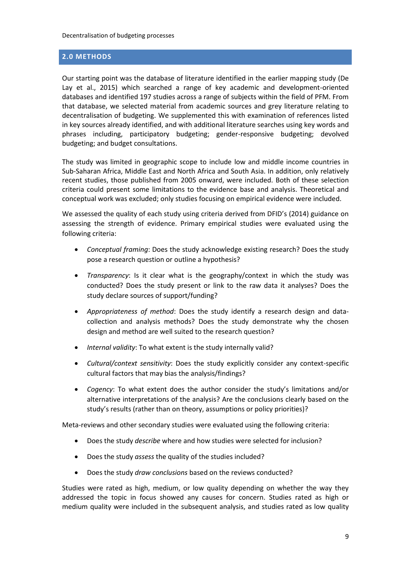#### <span id="page-10-0"></span>**2.0 METHODS**

Our starting point was the database of literature identified in the earlier mapping study (De Lay et al., 2015) which searched a range of key academic and development-oriented databases and identified 197 studies across a range of subjects within the field of PFM. From that database, we selected material from academic sources and grey literature relating to decentralisation of budgeting. We supplemented this with examination of references listed in key sources already identified, and with additional literature searches using key words and phrases including, participatory budgeting; gender-responsive budgeting; devolved budgeting; and budget consultations.

The study was limited in geographic scope to include low and middle income countries in Sub-Saharan Africa, Middle East and North Africa and South Asia. In addition, only relatively recent studies, those published from 2005 onward, were included. Both of these selection criteria could present some limitations to the evidence base and analysis. Theoretical and conceptual work was excluded; only studies focusing on empirical evidence were included.

We assessed the quality of each study using criteria derived from DFID's (2014) guidance on assessing the strength of evidence. Primary empirical studies were evaluated using the following criteria:

- *Conceptual framing*: Does the study acknowledge existing research? Does the study pose a research question or outline a hypothesis?
- *Transparency*: Is it clear what is the geography/context in which the study was conducted? Does the study present or link to the raw data it analyses? Does the study declare sources of support/funding?
- *Appropriateness of method*: Does the study identify a research design and datacollection and analysis methods? Does the study demonstrate why the chosen design and method are well suited to the research question?
- *Internal validity*: To what extent is the study internally valid?
- *Cultural/context sensitivity*: Does the study explicitly consider any context-specific cultural factors that may bias the analysis/findings?
- *Cogency*: To what extent does the author consider the study's limitations and/or alternative interpretations of the analysis? Are the conclusions clearly based on the study's results (rather than on theory, assumptions or policy priorities)?

Meta-reviews and other secondary studies were evaluated using the following criteria:

- Does the study *describe* where and how studies were selected for inclusion?
- Does the study *assess* the quality of the studies included?
- Does the study *draw conclusions* based on the reviews conducted?

Studies were rated as high, medium, or low quality depending on whether the way they addressed the topic in focus showed any causes for concern. Studies rated as high or medium quality were included in the subsequent analysis, and studies rated as low quality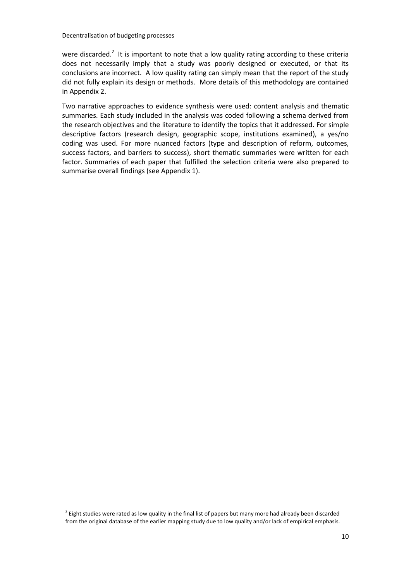were discarded.<sup>2</sup> It is important to note that a low quality rating according to these criteria does not necessarily imply that a study was poorly designed or executed, or that its conclusions are incorrect. A low quality rating can simply mean that the report of the study did not fully explain its design or methods. More details of this methodology are contained in Appendix 2.

Two narrative approaches to evidence synthesis were used: content analysis and thematic summaries. Each study included in the analysis was coded following a schema derived from the research objectives and the literature to identify the topics that it addressed. For simple descriptive factors (research design, geographic scope, institutions examined), a yes/no coding was used. For more nuanced factors (type and description of reform, outcomes, success factors, and barriers to success), short thematic summaries were written for each factor. Summaries of each paper that fulfilled the selection criteria were also prepared to summarise overall findings (see Appendix 1).

1

 $^2$  Eight studies were rated as low quality in the final list of papers but many more had already been discarded from the original database of the earlier mapping study due to low quality and/or lack of empirical emphasis.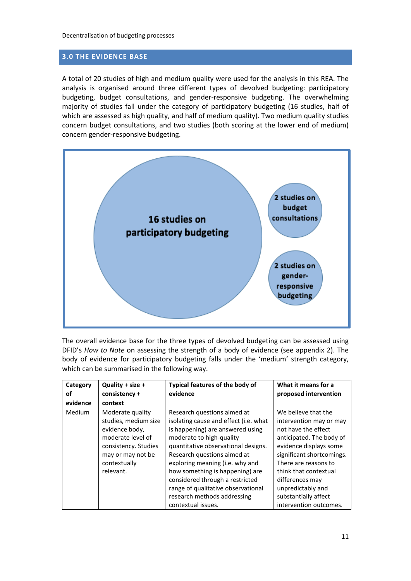#### <span id="page-12-0"></span>**3.0 THE EVIDENCE BASE**

A total of 20 studies of high and medium quality were used for the analysis in this REA. The analysis is organised around three different types of devolved budgeting: participatory budgeting, budget consultations, and gender-responsive budgeting. The overwhelming majority of studies fall under the category of participatory budgeting (16 studies, half of which are assessed as high quality, and half of medium quality). Two medium quality studies concern budget consultations, and two studies (both scoring at the lower end of medium) concern gender-responsive budgeting.



The overall evidence base for the three types of devolved budgeting can be assessed using DFID's *How to Note* on assessing the strength of a body of evidence (see appendix 2). The body of evidence for participatory budgeting falls under the 'medium' strength category, which can be summarised in the following way.

| Category<br>οf | Quality + size +<br>consistency +                                                                                                                         | Typical features of the body of<br>evidence                                                                                                                                                                                                                                                                                                                                                                    | What it means for a<br>proposed intervention                                                                                                                                                                                                                                                        |
|----------------|-----------------------------------------------------------------------------------------------------------------------------------------------------------|----------------------------------------------------------------------------------------------------------------------------------------------------------------------------------------------------------------------------------------------------------------------------------------------------------------------------------------------------------------------------------------------------------------|-----------------------------------------------------------------------------------------------------------------------------------------------------------------------------------------------------------------------------------------------------------------------------------------------------|
| evidence       | context                                                                                                                                                   |                                                                                                                                                                                                                                                                                                                                                                                                                |                                                                                                                                                                                                                                                                                                     |
| <b>Medium</b>  | Moderate quality<br>studies, medium size<br>evidence body,<br>moderate level of<br>consistency. Studies<br>may or may not be<br>contextually<br>relevant. | Research questions aimed at<br>isolating cause and effect (i.e. what<br>is happening) are answered using<br>moderate to high-quality<br>quantitative observational designs.<br>Research questions aimed at<br>exploring meaning (i.e. why and<br>how something is happening) are<br>considered through a restricted<br>range of qualitative observational<br>research methods addressing<br>contextual issues. | We believe that the<br>intervention may or may<br>not have the effect<br>anticipated. The body of<br>evidence displays some<br>significant shortcomings.<br>There are reasons to<br>think that contextual<br>differences may<br>unpredictably and<br>substantially affect<br>intervention outcomes. |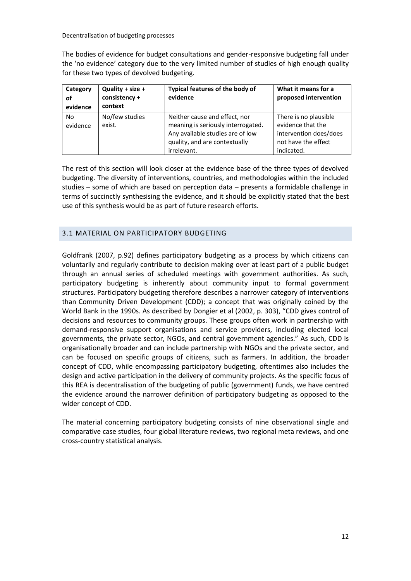The bodies of evidence for budget consultations and gender-responsive budgeting fall under the 'no evidence' category due to the very limited number of studies of high enough quality for these two types of devolved budgeting.

| Category<br><b>of</b><br>evidence | Quality + size +<br>consistency +<br>context | Typical features of the body of<br>evidence                                                                                                             | What it means for a<br>proposed intervention                                                              |
|-----------------------------------|----------------------------------------------|---------------------------------------------------------------------------------------------------------------------------------------------------------|-----------------------------------------------------------------------------------------------------------|
| No<br>evidence                    | No/few studies<br>exist.                     | Neither cause and effect, nor<br>meaning is seriously interrogated.<br>Any available studies are of low<br>quality, and are contextually<br>irrelevant. | There is no plausible<br>evidence that the<br>intervention does/does<br>not have the effect<br>indicated. |

The rest of this section will look closer at the evidence base of the three types of devolved budgeting. The diversity of interventions, countries, and methodologies within the included studies – some of which are based on perception data – presents a formidable challenge in terms of succinctly synthesising the evidence, and it should be explicitly stated that the best use of this synthesis would be as part of future research efforts.

#### <span id="page-13-0"></span>3.1 MATERIAL ON PARTICIPATORY BUDGETING

Goldfrank (2007, p.92) defines participatory budgeting as a process by which citizens can voluntarily and regularly contribute to decision making over at least part of a public budget through an annual series of scheduled meetings with government authorities. As such, participatory budgeting is inherently about community input to formal government structures. Participatory budgeting therefore describes a narrower category of interventions than Community Driven Development (CDD); a concept that was originally coined by the World Bank in the 1990s. As described by Dongier et al (2002, p. 303), "CDD gives control of decisions and resources to community groups. These groups often work in partnership with demand-responsive support organisations and service providers, including elected local governments, the private sector, NGOs, and central government agencies." As such, CDD is organisationally broader and can include partnership with NGOs and the private sector, and can be focused on specific groups of citizens, such as farmers. In addition, the broader concept of CDD, while encompassing participatory budgeting, oftentimes also includes the design and active participation in the delivery of community projects. As the specific focus of this REA is decentralisation of the budgeting of public (government) funds, we have centred the evidence around the narrower definition of participatory budgeting as opposed to the wider concept of CDD.

The material concerning participatory budgeting consists of nine observational single and comparative case studies, four global literature reviews, two regional meta reviews, and one cross-country statistical analysis.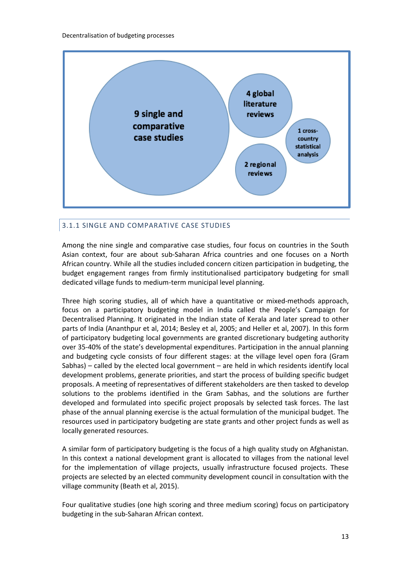

# <span id="page-14-0"></span>3.1.1 SINGLE AND COMPARATIVE CASE STUDIES

Among the nine single and comparative case studies, four focus on countries in the South Asian context, four are about sub-Saharan Africa countries and one focuses on a North African country. While all the studies included concern citizen participation in budgeting, the budget engagement ranges from firmly institutionalised participatory budgeting for small dedicated village funds to medium-term municipal level planning.

Three high scoring studies, all of which have a quantitative or mixed-methods approach, focus on a participatory budgeting model in India called the People's Campaign for Decentralised Planning. It originated in the Indian state of Kerala and later spread to other parts of India (Ananthpur et al, 2014; Besley et al, 2005; and Heller et al, 2007). In this form of participatory budgeting local governments are granted discretionary budgeting authority over 35-40% of the state's developmental expenditures. Participation in the annual planning and budgeting cycle consists of four different stages: at the village level open fora (Gram Sabhas) – called by the elected local government – are held in which residents identify local development problems, generate priorities, and start the process of building specific budget proposals. A meeting of representatives of different stakeholders are then tasked to develop solutions to the problems identified in the Gram Sabhas, and the solutions are further developed and formulated into specific project proposals by selected task forces. The last phase of the annual planning exercise is the actual formulation of the municipal budget. The resources used in participatory budgeting are state grants and other project funds as well as locally generated resources.

A similar form of participatory budgeting is the focus of a high quality study on Afghanistan. In this context a national development grant is allocated to villages from the national level for the implementation of village projects, usually infrastructure focused projects. These projects are selected by an elected community development council in consultation with the village community (Beath et al, 2015).

Four qualitative studies (one high scoring and three medium scoring) focus on participatory budgeting in the sub-Saharan African context.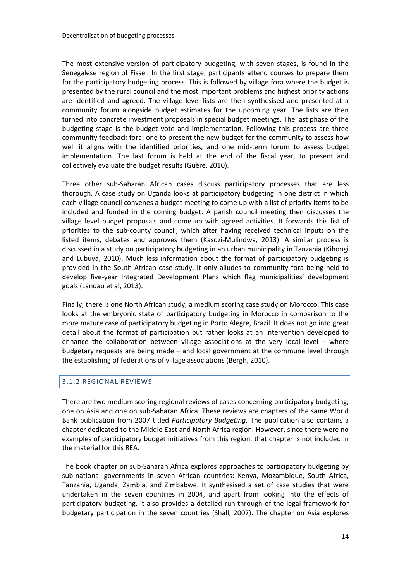The most extensive version of participatory budgeting, with seven stages, is found in the Senegalese region of Fissel. In the first stage, participants attend courses to prepare them for the participatory budgeting process. This is followed by village fora where the budget is presented by the rural council and the most important problems and highest priority actions are identified and agreed. The village level lists are then synthesised and presented at a community forum alongside budget estimates for the upcoming year. The lists are then turned into concrete investment proposals in special budget meetings. The last phase of the budgeting stage is the budget vote and implementation. Following this process are three community feedback fora: one to present the new budget for the community to assess how well it aligns with the identified priorities, and one mid-term forum to assess budget implementation. The last forum is held at the end of the fiscal year, to present and collectively evaluate the budget results (Guère, 2010).

Three other sub-Saharan African cases discuss participatory processes that are less thorough. A case study on Uganda looks at participatory budgeting in one district in which each village council convenes a budget meeting to come up with a list of priority items to be included and funded in the coming budget. A parish council meeting then discusses the village level budget proposals and come up with agreed activities. It forwards this list of priorities to the sub-county council, which after having received technical inputs on the listed items, debates and approves them (Kasozi-Mulindwa, 2013). A similar process is discussed in a study on participatory budgeting in an urban municipality in Tanzania (Kihongi and Lubuva, 2010). Much less information about the format of participatory budgeting is provided in the South African case study. It only alludes to community fora being held to develop five-year Integrated Development Plans which flag municipalities' development goals (Landau et al, 2013).

Finally, there is one North African study; a medium scoring case study on Morocco. This case looks at the embryonic state of participatory budgeting in Morocco in comparison to the more mature case of participatory budgeting in Porto Alegre, Brazil. It does not go into great detail about the format of participation but rather looks at an intervention developed to enhance the collaboration between village associations at the very local level  $-$  where budgetary requests are being made – and local government at the commune level through the establishing of federations of village associations (Bergh, 2010).

#### <span id="page-15-0"></span>3.1.2 REGIONAL REVIEWS

There are two medium scoring regional reviews of cases concerning participatory budgeting; one on Asia and one on sub-Saharan Africa. These reviews are chapters of the same World Bank publication from 2007 titled *Participatory Budgeting*. The publication also contains a chapter dedicated to the Middle East and North Africa region. However, since there were no examples of participatory budget initiatives from this region, that chapter is not included in the material for this REA.

The book chapter on sub-Saharan Africa explores approaches to participatory budgeting by sub-national governments in seven African countries: Kenya, Mozambique, South Africa, Tanzania, Uganda, Zambia, and Zimbabwe. It synthesised a set of case studies that were undertaken in the seven countries in 2004, and apart from looking into the effects of participatory budgeting, it also provides a detailed run-through of the legal framework for budgetary participation in the seven countries (Shall, 2007). The chapter on Asia explores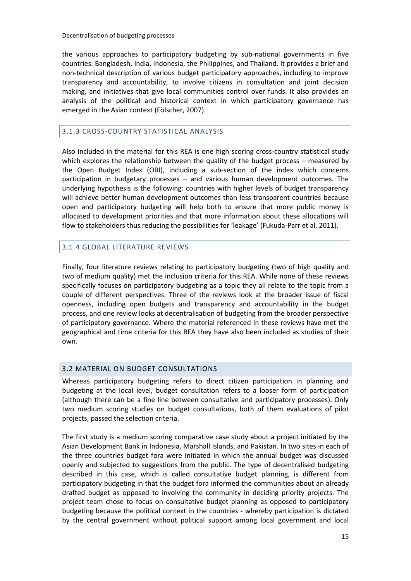the various approaches to participatory budgeting by sub-national governments in five countries: Bangladesh, India, Indonesia, the Philippines, and Thailand. It provides a brief and non-technical description of various budget participatory approaches, including to improve transparency and accountability, to involve citizens in consultation and joint decision making, and initiatives that give local communities control over funds. It also provides an analysis of the political and historical context in which participatory governance has emerged in the Asian context (Fölscher, 2007).

# <span id="page-16-0"></span>3.1.3 CROSS-COUNTRY STATISTICAL ANALYSIS

Also included in the material for this REA is one high scoring cross-country statistical study which explores the relationship between the quality of the budget process – measured by the Open Budget Index (OBI), including a sub-section of the index which concerns participation in budgetary processes – and various human development outcomes. The underlying hypothesis is the following: countries with higher levels of budget transparency will achieve better human development outcomes than less transparent countries because open and participatory budgeting will help both to ensure that more public money is allocated to development priorities and that more information about these allocations will flow to stakeholders thus reducing the possibilities for 'leakage' (Fukuda-Parr et al, 2011).

# <span id="page-16-1"></span>3.1.4 GLOBAL LITERATURE REVIEWS

Finally, four literature reviews relating to participatory budgeting (two of high quality and two of medium quality) met the inclusion criteria for this REA. While none of these reviews specifically focuses on participatory budgeting as a topic they all relate to the topic from a couple of different perspectives. Three of the reviews look at the broader issue of fiscal openness, including open budgets and transparency and accountability in the budget process, and one review looks at decentralisation of budgeting from the broader perspective of participatory governance. Where the material referenced in these reviews have met the geographical and time criteria for this REA they have also been included as studies of their own.

#### <span id="page-16-2"></span>3.2 MATERIAL ON BUDGET CONSULTATIONS

Whereas participatory budgeting refers to direct citizen participation in planning and budgeting at the local level, budget consultation refers to a looser form of participation (although there can be a fine line between consultative and participatory processes). Only two medium scoring studies on budget consultations, both of them evaluations of pilot projects, passed the selection criteria.

The first study is a medium scoring comparative case study about a project initiated by the Asian Development Bank in Indonesia, Marshall Islands, and Pakistan. In two sites in each of the three countries budget fora were initiated in which the annual budget was discussed openly and subjected to suggestions from the public. The type of decentralised budgeting described in this case, which is called consultative budget planning, is different from participatory budgeting in that the budget fora informed the communities about an already drafted budget as opposed to involving the community in deciding priority projects. The project team chose to focus on consultative budget planning as opposed to participatory budgeting because the political context in the countries - whereby participation is dictated by the central government without political support among local government and local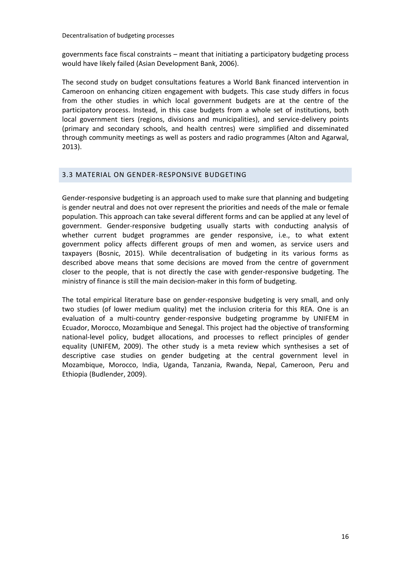governments face fiscal constraints – meant that initiating a participatory budgeting process would have likely failed (Asian Development Bank, 2006).

The second study on budget consultations features a World Bank financed intervention in Cameroon on enhancing citizen engagement with budgets. This case study differs in focus from the other studies in which local government budgets are at the centre of the participatory process. Instead, in this case budgets from a whole set of institutions, both local government tiers (regions, divisions and municipalities), and service-delivery points (primary and secondary schools, and health centres) were simplified and disseminated through community meetings as well as posters and radio programmes (Alton and Agarwal, 2013).

#### <span id="page-17-0"></span>3.3 MATERIAL ON GENDER-RESPONSIVE BUDGETING

Gender-responsive budgeting is an approach used to make sure that planning and budgeting is gender neutral and does not over represent the priorities and needs of the male or female population. This approach can take several different forms and can be applied at any level of government. Gender-responsive budgeting usually starts with conducting analysis of whether current budget programmes are gender responsive, i.e., to what extent government policy affects different groups of men and women, as service users and taxpayers (Bosnic, 2015). While decentralisation of budgeting in its various forms as described above means that some decisions are moved from the centre of government closer to the people, that is not directly the case with gender-responsive budgeting. The ministry of finance is still the main decision-maker in this form of budgeting.

The total empirical literature base on gender-responsive budgeting is very small, and only two studies (of lower medium quality) met the inclusion criteria for this REA. One is an evaluation of a multi-country gender-responsive budgeting programme by UNIFEM in Ecuador, Morocco, Mozambique and Senegal. This project had the objective of transforming national-level policy, budget allocations, and processes to reflect principles of gender equality (UNIFEM, 2009). The other study is a meta review which synthesises a set of descriptive case studies on gender budgeting at the central government level in Mozambique, Morocco, India, Uganda, Tanzania, Rwanda, Nepal, Cameroon, Peru and Ethiopia (Budlender, 2009).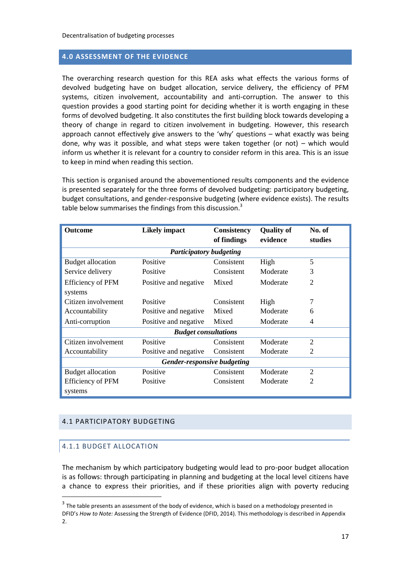#### <span id="page-18-0"></span>**4.0 ASSESSMENT OF THE EVIDENCE**

The overarching research question for this REA asks what effects the various forms of devolved budgeting have on budget allocation, service delivery, the efficiency of PFM systems, citizen involvement, accountability and anti-corruption. The answer to this question provides a good starting point for deciding whether it is worth engaging in these forms of devolved budgeting. It also constitutes the first building block towards developing a theory of change in regard to citizen involvement in budgeting. However, this research approach cannot effectively give answers to the 'why' questions – what exactly was being done, why was it possible, and what steps were taken together (or not) – which would inform us whether it is relevant for a country to consider reform in this area. This is an issue to keep in mind when reading this section.

This section is organised around the abovementioned results components and the evidence is presented separately for the three forms of devolved budgeting: participatory budgeting, budget consultations, and gender-responsive budgeting (where evidence exists). The results table below summarises the findings from this discussion.<sup>3</sup>

| <b>Outcome</b>              | <b>Likely impact</b>           | <b>Consistency</b><br>of findings | <b>Quality of</b><br>evidence | No. of<br>studies |  |
|-----------------------------|--------------------------------|-----------------------------------|-------------------------------|-------------------|--|
|                             | <b>Participatory budgeting</b> |                                   |                               |                   |  |
| <b>Budget allocation</b>    | Positive                       | Consistent                        | High                          | 5                 |  |
| Service delivery            | Positive                       | Consistent                        | Moderate                      | 3                 |  |
| <b>Efficiency of PFM</b>    | Positive and negative          | Mixed                             | Moderate                      | $\overline{2}$    |  |
| systems                     |                                |                                   |                               |                   |  |
| Citizen involvement         | Positive                       | Consistent                        | High                          | 7                 |  |
| Accountability              | Positive and negative          | Mixed                             | Moderate                      | 6                 |  |
| Anti-corruption             | Positive and negative          | Mixed                             | Moderate                      | 4                 |  |
|                             | <b>Budget consultations</b>    |                                   |                               |                   |  |
| Citizen involvement         | Positive                       | Consistent                        | Moderate                      | $\mathfrak{D}$    |  |
| Accountability              | Positive and negative          | Consistent                        | Moderate                      | $\overline{2}$    |  |
| Gender-responsive budgeting |                                |                                   |                               |                   |  |
| <b>Budget allocation</b>    | Positive                       | Consistent                        | Moderate                      | $\overline{2}$    |  |
| <b>Efficiency of PFM</b>    | Positive                       | Consistent                        | Moderate                      | $\overline{2}$    |  |
| systems                     |                                |                                   |                               |                   |  |

#### <span id="page-18-2"></span><span id="page-18-1"></span>4.1 PARTICIPATORY BUDGETING

#### 4.1.1 BUDGET ALLOCATION

<u>.</u>

The mechanism by which participatory budgeting would lead to pro-poor budget allocation is as follows: through participating in planning and budgeting at the local level citizens have a chance to express their priorities, and if these priorities align with poverty reducing

 $3$  The table presents an assessment of the body of evidence, which is based on a methodology presented in DFID's *How to Note:* Assessing the Strength of Evidence (DFID, 2014). This methodology is described in Appendix 2.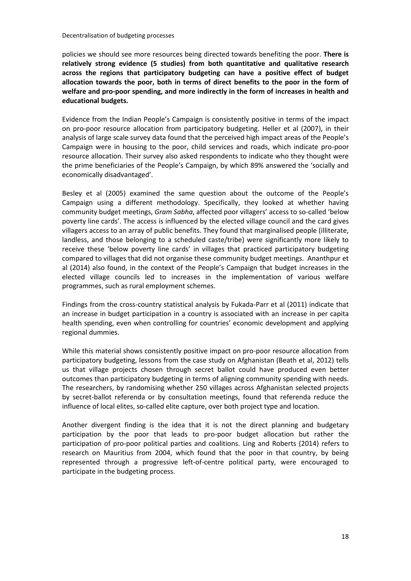policies we should see more resources being directed towards benefiting the poor. **There is relatively strong evidence (5 studies) from both quantitative and qualitative research across the regions that participatory budgeting can have a positive effect of budget allocation towards the poor, both in terms of direct benefits to the poor in the form of welfare and pro-poor spending, and more indirectly in the form of increases in health and educational budgets.**

Evidence from the Indian People's Campaign is consistently positive in terms of the impact on pro-poor resource allocation from participatory budgeting. Heller et al (2007), in their analysis of large scale survey data found that the perceived high impact areas of the People's Campaign were in housing to the poor, child services and roads, which indicate pro-poor resource allocation. Their survey also asked respondents to indicate who they thought were the prime beneficiaries of the People's Campaign, by which 89% answered the 'socially and economically disadvantaged'.

Besley et al (2005) examined the same question about the outcome of the People's Campaign using a different methodology. Specifically, they looked at whether having community budget meetings, *Gram Sabha*, affected poor villagers' access to so-called 'below poverty line cards'. The access is influenced by the elected village council and the card gives villagers access to an array of public benefits. They found that marginalised people (illiterate, landless, and those belonging to a scheduled caste/tribe) were significantly more likely to receive these 'below poverty line cards' in villages that practiced participatory budgeting compared to villages that did not organise these community budget meetings. Ananthpur et al (2014) also found, in the context of the People's Campaign that budget increases in the elected village councils led to increases in the implementation of various welfare programmes, such as rural employment schemes.

Findings from the cross-country statistical analysis by Fukada-Parr et al (2011) indicate that an increase in budget participation in a country is associated with an increase in per capita health spending, even when controlling for countries' economic development and applying regional dummies.

While this material shows consistently positive impact on pro-poor resource allocation from participatory budgeting, lessons from the case study on Afghanistan (Beath et al, 2012) tells us that village projects chosen through secret ballot could have produced even better outcomes than participatory budgeting in terms of aligning community spending with needs. The researchers, by randomising whether 250 villages across Afghanistan selected projects by secret-ballot referenda or by consultation meetings, found that referenda reduce the influence of local elites, so-called elite capture, over both project type and location.

Another divergent finding is the idea that it is not the direct planning and budgetary participation by the poor that leads to pro-poor budget allocation but rather the participation of pro-poor political parties and coalitions. Ling and Roberts (2014) refers to research on Mauritius from 2004, which found that the poor in that country, by being represented through a progressive left-of-centre political party, were encouraged to participate in the budgeting process.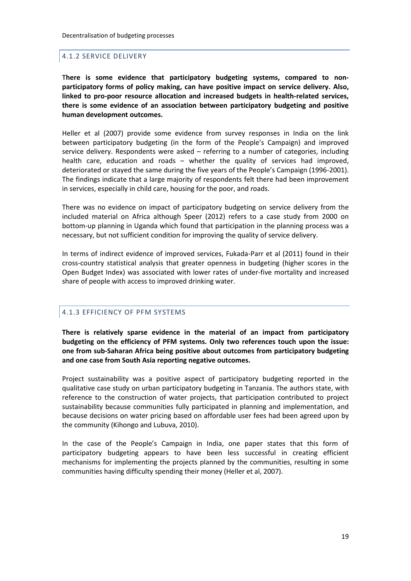#### <span id="page-20-0"></span>4.1.2 SERVICE DELIVERY

**There is some evidence that participatory budgeting systems, compared to nonparticipatory forms of policy making, can have positive impact on service delivery. Also, linked to pro-poor resource allocation and increased budgets in health-related services, there is some evidence of an association between participatory budgeting and positive human development outcomes.**

Heller et al (2007) provide some evidence from survey responses in India on the link between participatory budgeting (in the form of the People's Campaign) and improved service delivery. Respondents were asked – referring to a number of categories, including health care, education and roads – whether the quality of services had improved, deteriorated or stayed the same during the five years of the People's Campaign (1996-2001). The findings indicate that a large majority of respondents felt there had been improvement in services, especially in child care, housing for the poor, and roads.

There was no evidence on impact of participatory budgeting on service delivery from the included material on Africa although Speer (2012) refers to a case study from 2000 on bottom-up planning in Uganda which found that participation in the planning process was a necessary, but not sufficient condition for improving the quality of service delivery.

In terms of indirect evidence of improved services, Fukada-Parr et al (2011) found in their cross-country statistical analysis that greater openness in budgeting (higher scores in the Open Budget Index) was associated with lower rates of under-five mortality and increased share of people with access to improved drinking water.

#### <span id="page-20-1"></span>4.1.3 EFFICIENCY OF PFM SYSTEMS

**There is relatively sparse evidence in the material of an impact from participatory budgeting on the efficiency of PFM systems. Only two references touch upon the issue: one from sub-Saharan Africa being positive about outcomes from participatory budgeting and one case from South Asia reporting negative outcomes.** 

Project sustainability was a positive aspect of participatory budgeting reported in the qualitative case study on urban participatory budgeting in Tanzania. The authors state, with reference to the construction of water projects, that participation contributed to project sustainability because communities fully participated in planning and implementation, and because decisions on water pricing based on affordable user fees had been agreed upon by the community (Kihongo and Lubuva, 2010).

In the case of the People's Campaign in India, one paper states that this form of participatory budgeting appears to have been less successful in creating efficient mechanisms for implementing the projects planned by the communities, resulting in some communities having difficulty spending their money (Heller et al, 2007).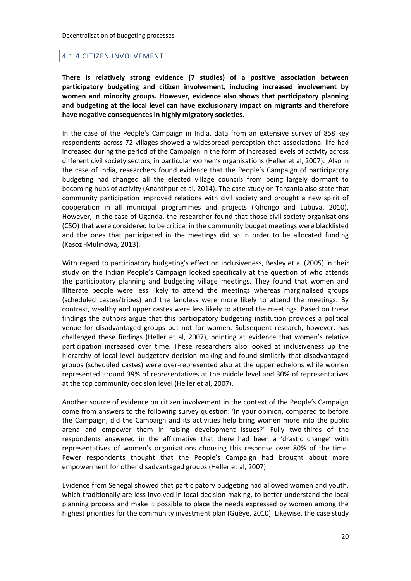#### <span id="page-21-0"></span>4.1.4 CITIZEN INVOLVEMENT

**There is relatively strong evidence (7 studies) of a positive association between participatory budgeting and citizen involvement, including increased involvement by women and minority groups. However, evidence also shows that participatory planning and budgeting at the local level can have exclusionary impact on migrants and therefore have negative consequences in highly migratory societies.** 

In the case of the People's Campaign in India, data from an extensive survey of 858 key respondents across 72 villages showed a widespread perception that associational life had increased during the period of the Campaign in the form of increased levels of activity across different civil society sectors, in particular women's organisations (Heller et al, 2007). Also in the case of India, researchers found evidence that the People's Campaign of participatory budgeting had changed all the elected village councils from being largely dormant to becoming hubs of activity (Ananthpur et al, 2014). The case study on Tanzania also state that community participation improved relations with civil society and brought a new spirit of cooperation in all municipal programmes and projects (Kihongo and Lubuva, 2010). However, in the case of Uganda, the researcher found that those civil society organisations (CSO) that were considered to be critical in the community budget meetings were blacklisted and the ones that participated in the meetings did so in order to be allocated funding (Kasozi-Mulindwa, 2013).

With regard to participatory budgeting's effect on inclusiveness, Besley et al (2005) in their study on the Indian People's Campaign looked specifically at the question of who attends the participatory planning and budgeting village meetings. They found that women and illiterate people were less likely to attend the meetings whereas marginalised groups (scheduled castes/tribes) and the landless were more likely to attend the meetings. By contrast, wealthy and upper castes were less likely to attend the meetings. Based on these findings the authors argue that this participatory budgeting institution provides a political venue for disadvantaged groups but not for women. Subsequent research, however, has challenged these findings (Heller et al, 2007), pointing at evidence that women's relative participation increased over time. These researchers also looked at inclusiveness up the hierarchy of local level budgetary decision-making and found similarly that disadvantaged groups (scheduled castes) were over-represented also at the upper echelons while women represented around 39% of representatives at the middle level and 30% of representatives at the top community decision level (Heller et al, 2007).

Another source of evidence on citizen involvement in the context of the People's Campaign come from answers to the following survey question: 'In your opinion, compared to before the Campaign, did the Campaign and its activities help bring women more into the public arena and empower them in raising development issues?' Fully two-thirds of the respondents answered in the affirmative that there had been a 'drastic change' with representatives of women's organisations choosing this response over 80% of the time. Fewer respondents thought that the People's Campaign had brought about more empowerment for other disadvantaged groups (Heller et al, 2007).

Evidence from Senegal showed that participatory budgeting had allowed women and youth, which traditionally are less involved in local decision-making, to better understand the local planning process and make it possible to place the needs expressed by women among the highest priorities for the community investment plan (Guèye, 2010). Likewise, the case study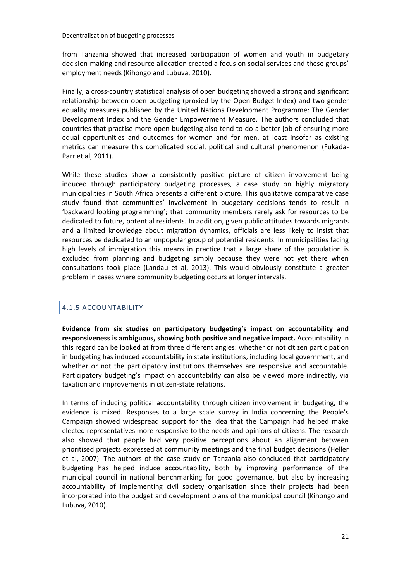from Tanzania showed that increased participation of women and youth in budgetary decision-making and resource allocation created a focus on social services and these groups' employment needs (Kihongo and Lubuva, 2010).

Finally, a cross-country statistical analysis of open budgeting showed a strong and significant relationship between open budgeting (proxied by the Open Budget Index) and two gender equality measures published by the United Nations Development Programme: The Gender Development Index and the Gender Empowerment Measure. The authors concluded that countries that practise more open budgeting also tend to do a better job of ensuring more equal opportunities and outcomes for women and for men, at least insofar as existing metrics can measure this complicated social, political and cultural phenomenon (Fukada-Parr et al, 2011).

While these studies show a consistently positive picture of citizen involvement being induced through participatory budgeting processes, a case study on highly migratory municipalities in South Africa presents a different picture. This qualitative comparative case study found that communities' involvement in budgetary decisions tends to result in 'backward looking programming'; that community members rarely ask for resources to be dedicated to future, potential residents. In addition, given public attitudes towards migrants and a limited knowledge about migration dynamics, officials are less likely to insist that resources be dedicated to an unpopular group of potential residents. In municipalities facing high levels of immigration this means in practice that a large share of the population is excluded from planning and budgeting simply because they were not yet there when consultations took place (Landau et al, 2013). This would obviously constitute a greater problem in cases where community budgeting occurs at longer intervals.

# <span id="page-22-0"></span>4.1.5 ACCOUNTABILITY

**Evidence from six studies on participatory budgeting's impact on accountability and responsiveness is ambiguous, showing both positive and negative impact.** Accountability in this regard can be looked at from three different angles: whether or not citizen participation in budgeting has induced accountability in state institutions, including local government, and whether or not the participatory institutions themselves are responsive and accountable. Participatory budgeting's impact on accountability can also be viewed more indirectly, via taxation and improvements in citizen-state relations.

In terms of inducing political accountability through citizen involvement in budgeting, the evidence is mixed. Responses to a large scale survey in India concerning the People's Campaign showed widespread support for the idea that the Campaign had helped make elected representatives more responsive to the needs and opinions of citizens. The research also showed that people had very positive perceptions about an alignment between prioritised projects expressed at community meetings and the final budget decisions (Heller et al, 2007). The authors of the case study on Tanzania also concluded that participatory budgeting has helped induce accountability, both by improving performance of the municipal council in national benchmarking for good governance, but also by increasing accountability of implementing civil society organisation since their projects had been incorporated into the budget and development plans of the municipal council (Kihongo and Lubuva, 2010).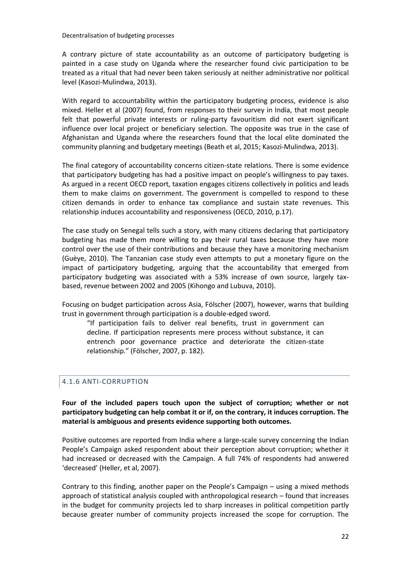A contrary picture of state accountability as an outcome of participatory budgeting is painted in a case study on Uganda where the researcher found civic participation to be treated as a ritual that had never been taken seriously at neither administrative nor political level (Kasozi-Mulindwa, 2013).

With regard to accountability within the participatory budgeting process, evidence is also mixed. Heller et al (2007) found, from responses to their survey in India, that most people felt that powerful private interests or ruling-party favouritism did not exert significant influence over local project or beneficiary selection. The opposite was true in the case of Afghanistan and Uganda where the researchers found that the local elite dominated the community planning and budgetary meetings (Beath et al, 2015; Kasozi-Mulindwa, 2013).

The final category of accountability concerns citizen-state relations. There is some evidence that participatory budgeting has had a positive impact on people's willingness to pay taxes. As argued in a recent OECD report, taxation engages citizens collectively in politics and leads them to make claims on government. The government is compelled to respond to these citizen demands in order to enhance tax compliance and sustain state revenues. This relationship induces accountability and responsiveness (OECD, 2010, p.17).

The case study on Senegal tells such a story, with many citizens declaring that participatory budgeting has made them more willing to pay their rural taxes because they have more control over the use of their contributions and because they have a monitoring mechanism (Guèye, 2010). The Tanzanian case study even attempts to put a monetary figure on the impact of participatory budgeting, arguing that the accountability that emerged from participatory budgeting was associated with a 53% increase of own source, largely taxbased, revenue between 2002 and 2005 (Kihongo and Lubuva, 2010).

Focusing on budget participation across Asia, Fölscher (2007), however, warns that building trust in government through participation is a double-edged sword.

"If participation fails to deliver real benefits, trust in government can decline. If participation represents mere process without substance, it can entrench poor governance practice and deteriorate the citizen-state relationship." (Fölscher, 2007, p. 182).

# <span id="page-23-0"></span>4.1.6 ANTI-CORRUPTION

**Four of the included papers touch upon the subject of corruption; whether or not participatory budgeting can help combat it or if, on the contrary, it induces corruption. The material is ambiguous and presents evidence supporting both outcomes.** 

Positive outcomes are reported from India where a large-scale survey concerning the Indian People's Campaign asked respondent about their perception about corruption; whether it had increased or decreased with the Campaign. A full 74% of respondents had answered 'decreased' (Heller, et al, 2007).

Contrary to this finding, another paper on the People's Campaign – using a mixed methods approach of statistical analysis coupled with anthropological research – found that increases in the budget for community projects led to sharp increases in political competition partly because greater number of community projects increased the scope for corruption. The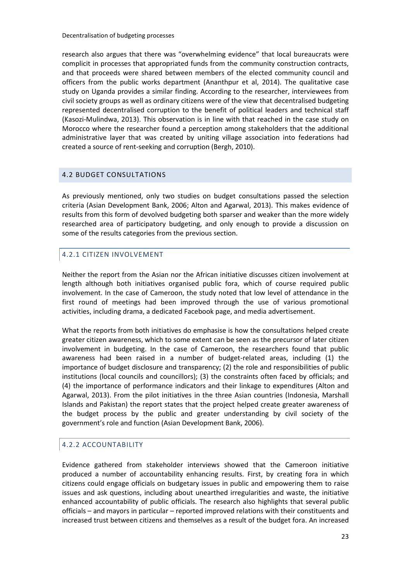research also argues that there was "overwhelming evidence" that local bureaucrats were complicit in processes that appropriated funds from the community construction contracts, and that proceeds were shared between members of the elected community council and officers from the public works department (Ananthpur et al, 2014). The qualitative case study on Uganda provides a similar finding. According to the researcher, interviewees from civil society groups as well as ordinary citizens were of the view that decentralised budgeting represented decentralised corruption to the benefit of political leaders and technical staff (Kasozi-Mulindwa, 2013). This observation is in line with that reached in the case study on Morocco where the researcher found a perception among stakeholders that the additional administrative layer that was created by uniting village association into federations had created a source of rent-seeking and corruption (Bergh, 2010).

# <span id="page-24-0"></span>4.2 BUDGET CONSULTATIONS

As previously mentioned, only two studies on budget consultations passed the selection criteria (Asian Development Bank, 2006; Alton and Agarwal, 2013). This makes evidence of results from this form of devolved budgeting both sparser and weaker than the more widely researched area of participatory budgeting, and only enough to provide a discussion on some of the results categories from the previous section.

# <span id="page-24-1"></span>4.2.1 CITIZEN INVOLVEMENT

Neither the report from the Asian nor the African initiative discusses citizen involvement at length although both initiatives organised public fora, which of course required public involvement. In the case of Cameroon, the study noted that low level of attendance in the first round of meetings had been improved through the use of various promotional activities, including drama, a dedicated Facebook page, and media advertisement.

What the reports from both initiatives do emphasise is how the consultations helped create greater citizen awareness, which to some extent can be seen as the precursor of later citizen involvement in budgeting. In the case of Cameroon, the researchers found that public awareness had been raised in a number of budget-related areas, including (1) the importance of budget disclosure and transparency; (2) the role and responsibilities of public institutions (local councils and councillors); (3) the constraints often faced by officials; and (4) the importance of performance indicators and their linkage to expenditures (Alton and Agarwal, 2013). From the pilot initiatives in the three Asian countries (Indonesia, Marshall Islands and Pakistan) the report states that the project helped create greater awareness of the budget process by the public and greater understanding by civil society of the government's role and function (Asian Development Bank, 2006).

# <span id="page-24-2"></span>4.2.2 ACCOUNTABILITY

Evidence gathered from stakeholder interviews showed that the Cameroon initiative produced a number of accountability enhancing results. First, by creating fora in which citizens could engage officials on budgetary issues in public and empowering them to raise issues and ask questions, including about unearthed irregularities and waste, the initiative enhanced accountability of public officials. The research also highlights that several public officials – and mayors in particular – reported improved relations with their constituents and increased trust between citizens and themselves as a result of the budget fora. An increased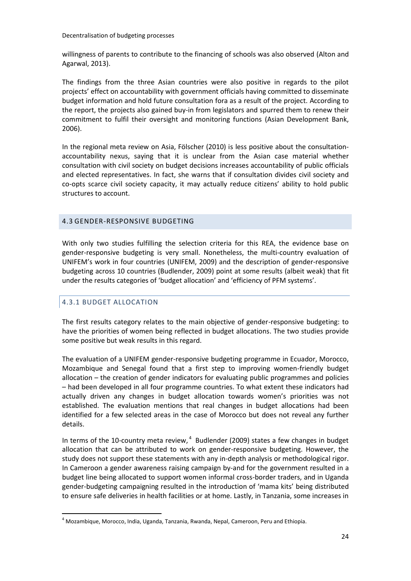willingness of parents to contribute to the financing of schools was also observed (Alton and Agarwal, 2013).

The findings from the three Asian countries were also positive in regards to the pilot projects' effect on accountability with government officials having committed to disseminate budget information and hold future consultation fora as a result of the project. According to the report, the projects also gained buy-in from legislators and spurred them to renew their commitment to fulfil their oversight and monitoring functions (Asian Development Bank, 2006).

In the regional meta review on Asia, Fölscher (2010) is less positive about the consultationaccountability nexus, saying that it is unclear from the Asian case material whether consultation with civil society on budget decisions increases accountability of public officials and elected representatives. In fact, she warns that if consultation divides civil society and co-opts scarce civil society capacity, it may actually reduce citizens' ability to hold public structures to account.

#### <span id="page-25-0"></span>4.3 GENDER-RESPONSIVE BUDGETING

With only two studies fulfilling the selection criteria for this REA, the evidence base on gender-responsive budgeting is very small. Nonetheless, the multi-country evaluation of UNIFEM's work in four countries (UNIFEM, 2009) and the description of gender-responsive budgeting across 10 countries (Budlender, 2009) point at some results (albeit weak) that fit under the results categories of 'budget allocation' and 'efficiency of PFM systems'.

# <span id="page-25-1"></span>4.3.1 BUDGET ALLOCATION

1

The first results category relates to the main objective of gender-responsive budgeting: to have the priorities of women being reflected in budget allocations. The two studies provide some positive but weak results in this regard.

The evaluation of a UNIFEM gender-responsive budgeting programme in Ecuador, Morocco, Mozambique and Senegal found that a first step to improving women-friendly budget allocation – the creation of gender indicators for evaluating public programmes and policies – had been developed in all four programme countries. To what extent these indicators had actually driven any changes in budget allocation towards women's priorities was not established. The evaluation mentions that real changes in budget allocations had been identified for a few selected areas in the case of Morocco but does not reveal any further details.

In terms of the 10-country meta review, $<sup>4</sup>$  Budlender (2009) states a few changes in budget</sup> allocation that can be attributed to work on gender-responsive budgeting. However, the study does not support these statements with any in-depth analysis or methodological rigor. In Cameroon a gender awareness raising campaign by-and for the government resulted in a budget line being allocated to support women informal cross-border traders, and in Uganda gender-budgeting campaigning resulted in the introduction of 'mama kits' being distributed to ensure safe deliveries in health facilities or at home. Lastly, in Tanzania, some increases in

<sup>4</sup> Mozambique, Morocco, India, Uganda, Tanzania, Rwanda, Nepal, Cameroon, Peru and Ethiopia.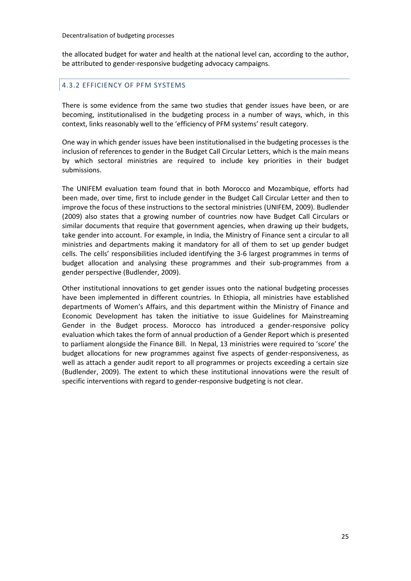the allocated budget for water and health at the national level can, according to the author, be attributed to gender-responsive budgeting advocacy campaigns.

#### <span id="page-26-0"></span>4.3.2 EFFICIENCY OF PFM SYSTEMS

There is some evidence from the same two studies that gender issues have been, or are becoming, institutionalised in the budgeting process in a number of ways, which, in this context, links reasonably well to the 'efficiency of PFM systems' result category.

One way in which gender issues have been institutionalised in the budgeting processes is the inclusion of references to gender in the Budget Call Circular Letters, which is the main means by which sectoral ministries are required to include key priorities in their budget submissions.

The UNIFEM evaluation team found that in both Morocco and Mozambique, efforts had been made, over time, first to include gender in the Budget Call Circular Letter and then to improve the focus of these instructions to the sectoral ministries (UNIFEM, 2009). Budlender (2009) also states that a growing number of countries now have Budget Call Circulars or similar documents that require that government agencies, when drawing up their budgets, take gender into account. For example, in India, the Ministry of Finance sent a circular to all ministries and departments making it mandatory for all of them to set up gender budget cells. The cells' responsibilities included identifying the 3-6 largest programmes in terms of budget allocation and analysing these programmes and their sub-programmes from a gender perspective (Budlender, 2009).

Other institutional innovations to get gender issues onto the national budgeting processes have been implemented in different countries. In Ethiopia, all ministries have established departments of Women's Affairs, and this department within the Ministry of Finance and Economic Development has taken the initiative to issue Guidelines for Mainstreaming Gender in the Budget process. Morocco has introduced a gender-responsive policy evaluation which takes the form of annual production of a Gender Report which is presented to parliament alongside the Finance Bill. In Nepal, 13 ministries were required to 'score' the budget allocations for new programmes against five aspects of gender-responsiveness, as well as attach a gender audit report to all programmes or projects exceeding a certain size (Budlender, 2009). The extent to which these institutional innovations were the result of specific interventions with regard to gender-responsive budgeting is not clear.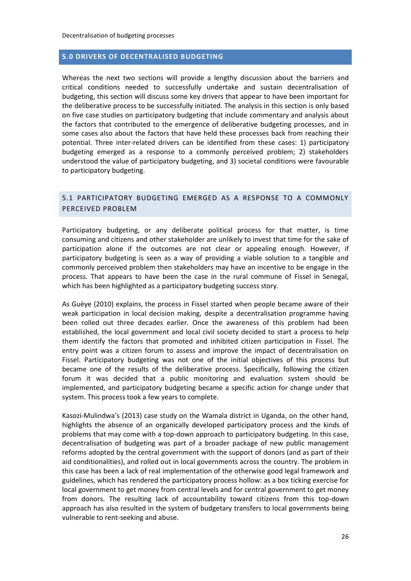#### <span id="page-27-0"></span>**5.0 DRIVERS OF DECENTRALISED BUDGETING**

Whereas the next two sections will provide a lengthy discussion about the barriers and critical conditions needed to successfully undertake and sustain decentralisation of budgeting, this section will discuss some key drivers that appear to have been important for the deliberative process to be successfully initiated. The analysis in this section is only based on five case studies on participatory budgeting that include commentary and analysis about the factors that contributed to the emergence of deliberative budgeting processes, and in some cases also about the factors that have held these processes back from reaching their potential. Three inter-related drivers can be identified from these cases: 1) participatory budgeting emerged as a response to a commonly perceived problem; 2) stakeholders understood the value of participatory budgeting, and 3) societal conditions were favourable to participatory budgeting.

#### <span id="page-27-1"></span>5.1 PARTICIPATORY BUDGETING EMERGED AS A RESPONSE TO A COMMONLY PERCEIVED PROBLEM

Participatory budgeting, or any deliberate political process for that matter, is time consuming and citizens and other stakeholder are unlikely to invest that time for the sake of participation alone if the outcomes are not clear or appealing enough. However, if participatory budgeting is seen as a way of providing a viable solution to a tangible and commonly perceived problem then stakeholders may have an incentive to be engage in the process. That appears to have been the case in the rural commune of Fissel in Senegal, which has been highlighted as a participatory budgeting success story.

As Guèye (2010) explains, the process in Fissel started when people became aware of their weak participation in local decision making, despite a decentralisation programme having been rolled out three decades earlier. Once the awareness of this problem had been established, the local government and local civil society decided to start a process to help them identify the factors that promoted and inhibited citizen participation in Fissel. The entry point was a citizen forum to assess and improve the impact of decentralisation on Fissel. Participatory budgeting was not one of the initial objectives of this process but became one of the results of the deliberative process. Specifically, following the citizen forum it was decided that a public monitoring and evaluation system should be implemented, and participatory budgeting became a specific action for change under that system. This process took a few years to complete.

Kasozi-Mulindwa's (2013) case study on the Wamala district in Uganda, on the other hand, highlights the absence of an organically developed participatory process and the kinds of problems that may come with a top-down approach to participatory budgeting. In this case, decentralisation of budgeting was part of a broader package of new public management reforms adopted by the central government with the support of donors (and as part of their aid conditionalities), and rolled out in local governments across the country. The problem in this case has been a lack of real implementation of the otherwise good legal framework and guidelines, which has rendered the participatory process hollow: as a box ticking exercise for local government to get money from central levels and for central government to get money from donors. The resulting lack of accountability toward citizens from this top-down approach has also resulted in the system of budgetary transfers to local governments being vulnerable to rent-seeking and abuse.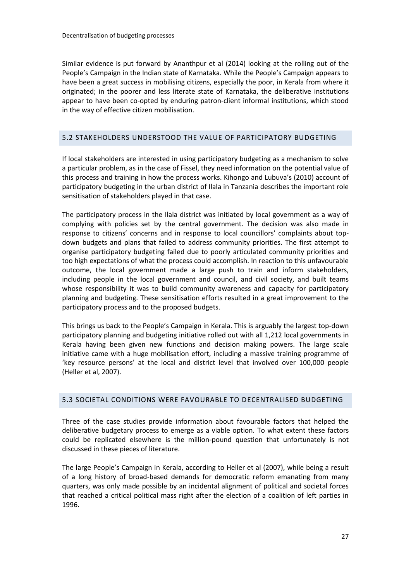Similar evidence is put forward by Ananthpur et al (2014) looking at the rolling out of the People's Campaign in the Indian state of Karnataka. While the People's Campaign appears to have been a great success in mobilising citizens, especially the poor, in Kerala from where it originated; in the poorer and less literate state of Karnataka, the deliberative institutions appear to have been co-opted by enduring patron-client informal institutions, which stood in the way of effective citizen mobilisation.

#### <span id="page-28-0"></span>5.2 STAKEHOLDERS UNDERSTOOD THE VALUE OF PARTICIPATORY BUDGETING

If local stakeholders are interested in using participatory budgeting as a mechanism to solve a particular problem, as in the case of Fissel, they need information on the potential value of this process and training in how the process works. Kihongo and Lubuva's (2010) account of participatory budgeting in the urban district of Ilala in Tanzania describes the important role sensitisation of stakeholders played in that case.

The participatory process in the Ilala district was initiated by local government as a way of complying with policies set by the central government. The decision was also made in response to citizens' concerns and in response to local councillors' complaints about topdown budgets and plans that failed to address community priorities. The first attempt to organise participatory budgeting failed due to poorly articulated community priorities and too high expectations of what the process could accomplish. In reaction to this unfavourable outcome, the local government made a large push to train and inform stakeholders, including people in the local government and council, and civil society, and built teams whose responsibility it was to build community awareness and capacity for participatory planning and budgeting. These sensitisation efforts resulted in a great improvement to the participatory process and to the proposed budgets.

This brings us back to the People's Campaign in Kerala. This is arguably the largest top-down participatory planning and budgeting initiative rolled out with all 1,212 local governments in Kerala having been given new functions and decision making powers. The large scale initiative came with a huge mobilisation effort, including a massive training programme of 'key resource persons' at the local and district level that involved over 100,000 people (Heller et al, 2007).

#### <span id="page-28-1"></span>5.3 SOCIETAL CONDITIONS WERE FAVOURABLE TO DECENTRALISED BUDGETING

Three of the case studies provide information about favourable factors that helped the deliberative budgetary process to emerge as a viable option. To what extent these factors could be replicated elsewhere is the million-pound question that unfortunately is not discussed in these pieces of literature.

The large People's Campaign in Kerala, according to Heller et al (2007), while being a result of a long history of broad-based demands for democratic reform emanating from many quarters, was only made possible by an incidental alignment of political and societal forces that reached a critical political mass right after the election of a coalition of left parties in 1996.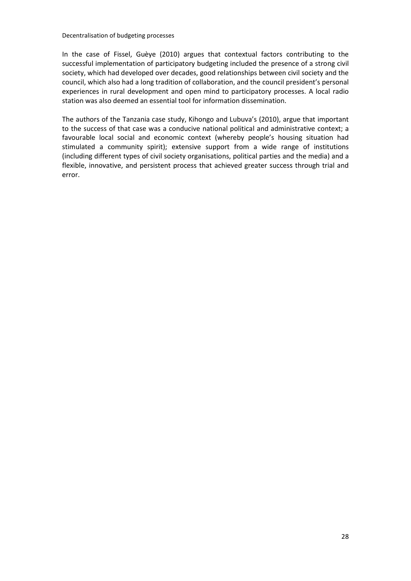In the case of Fissel, Guèye (2010) argues that contextual factors contributing to the successful implementation of participatory budgeting included the presence of a strong civil society, which had developed over decades, good relationships between civil society and the council, which also had a long tradition of collaboration, and the council president's personal experiences in rural development and open mind to participatory processes. A local radio station was also deemed an essential tool for information dissemination.

The authors of the Tanzania case study, Kihongo and Lubuva's (2010), argue that important to the success of that case was a conducive national political and administrative context; a favourable local social and economic context (whereby people's housing situation had stimulated a community spirit); extensive support from a wide range of institutions (including different types of civil society organisations, political parties and the media) and a flexible, innovative, and persistent process that achieved greater success through trial and error.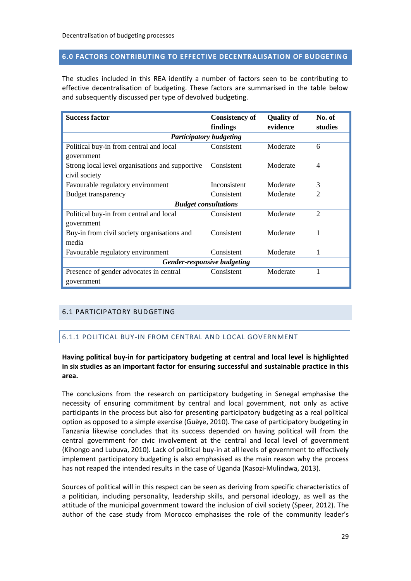#### <span id="page-30-0"></span>**6.0 FACTORS CONTRIBUTING TO EFFECTIVE DECENTRALISATION OF BUDGETING**

The studies included in this REA identify a number of factors seen to be contributing to effective decentralisation of budgeting. These factors are summarised in the table below and subsequently discussed per type of devolved budgeting.

| <b>Success factor</b>                           | <b>Consistency of</b>          | <b>Quality of</b> | No. of         |  |  |  |  |
|-------------------------------------------------|--------------------------------|-------------------|----------------|--|--|--|--|
|                                                 | findings                       | evidence          | studies        |  |  |  |  |
|                                                 | <b>Participatory budgeting</b> |                   |                |  |  |  |  |
| Political buy-in from central and local         | Consistent                     | Moderate          | 6              |  |  |  |  |
| government                                      |                                |                   |                |  |  |  |  |
| Strong local level organisations and supportive | Consistent                     | Moderate          | 4              |  |  |  |  |
| civil society                                   |                                |                   |                |  |  |  |  |
| Favourable regulatory environment               | Inconsistent                   | Moderate          | 3              |  |  |  |  |
| <b>Budget transparency</b>                      | Consistent                     | Moderate          | 2              |  |  |  |  |
| <b>Budget consultations</b>                     |                                |                   |                |  |  |  |  |
| Political buy-in from central and local         | Consistent                     | Moderate          | $\overline{2}$ |  |  |  |  |
| government                                      |                                |                   |                |  |  |  |  |
| Buy-in from civil society organisations and     | Consistent                     | Moderate          | 1              |  |  |  |  |
| media                                           |                                |                   |                |  |  |  |  |
| Favourable regulatory environment               | Consistent                     | Moderate          | 1              |  |  |  |  |
| Gender-responsive budgeting                     |                                |                   |                |  |  |  |  |
| Presence of gender advocates in central         | Consistent                     | Moderate          | 1              |  |  |  |  |
| government                                      |                                |                   |                |  |  |  |  |

# <span id="page-30-2"></span><span id="page-30-1"></span>6.1 PARTICIPATORY BUDGETING

# 6.1.1 POLITICAL BUY-IN FROM CENTRAL AND LOCAL GOVERNMENT

#### **Having political buy-in for participatory budgeting at central and local level is highlighted in six studies as an important factor for ensuring successful and sustainable practice in this area.**

The conclusions from the research on participatory budgeting in Senegal emphasise the necessity of ensuring commitment by central and local government, not only as active participants in the process but also for presenting participatory budgeting as a real political option as opposed to a simple exercise (Guèye, 2010). The case of participatory budgeting in Tanzania likewise concludes that its success depended on having political will from the central government for civic involvement at the central and local level of government (Kihongo and Lubuva, 2010). Lack of political buy-in at all levels of government to effectively implement participatory budgeting is also emphasised as the main reason why the process has not reaped the intended results in the case of Uganda (Kasozi-Mulindwa, 2013).

Sources of political will in this respect can be seen as deriving from specific characteristics of a politician, including personality, leadership skills, and personal ideology, as well as the attitude of the municipal government toward the inclusion of civil society (Speer, 2012). The author of the case study from Morocco emphasises the role of the community leader's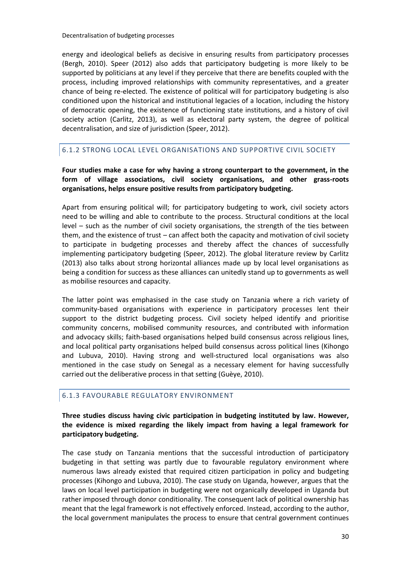energy and ideological beliefs as decisive in ensuring results from participatory processes (Bergh, 2010). Speer (2012) also adds that participatory budgeting is more likely to be supported by politicians at any level if they perceive that there are benefits coupled with the process, including improved relationships with community representatives, and a greater chance of being re-elected. The existence of political will for participatory budgeting is also conditioned upon the historical and institutional legacies of a location, including the history of democratic opening, the existence of functioning state institutions, and a history of civil society action (Carlitz, 2013), as well as electoral party system, the degree of political decentralisation, and size of jurisdiction (Speer, 2012).

# <span id="page-31-0"></span>6.1.2 STRONG LOCAL LEVEL ORGANISATIONS AND SUPPORTIVE CIVIL SOCIETY

**Four studies make a case for why having a strong counterpart to the government, in the form of village associations, civil society organisations, and other grass-roots organisations, helps ensure positive results from participatory budgeting.**

Apart from ensuring political will; for participatory budgeting to work, civil society actors need to be willing and able to contribute to the process. Structural conditions at the local level – such as the number of civil society organisations, the strength of the ties between them, and the existence of trust – can affect both the capacity and motivation of civil society to participate in budgeting processes and thereby affect the chances of successfully implementing participatory budgeting (Speer, 2012). The global literature review by Carlitz (2013) also talks about strong horizontal alliances made up by local level organisations as being a condition for success as these alliances can unitedly stand up to governments as well as mobilise resources and capacity.

The latter point was emphasised in the case study on Tanzania where a rich variety of community-based organisations with experience in participatory processes lent their support to the district budgeting process. Civil society helped identify and prioritise community concerns, mobilised community resources, and contributed with information and advocacy skills; faith-based organisations helped build consensus across religious lines, and local political party organisations helped build consensus across political lines (Kihongo and Lubuva, 2010). Having strong and well-structured local organisations was also mentioned in the case study on Senegal as a necessary element for having successfully carried out the deliberative process in that setting (Guèye, 2010).

#### <span id="page-31-1"></span>6.1.3 FAVOURABLE REGULATORY ENVIRONMENT

**Three studies discuss having civic participation in budgeting instituted by law. However, the evidence is mixed regarding the likely impact from having a legal framework for participatory budgeting.**

The case study on Tanzania mentions that the successful introduction of participatory budgeting in that setting was partly due to favourable regulatory environment where numerous laws already existed that required citizen participation in policy and budgeting processes (Kihongo and Lubuva, 2010). The case study on Uganda, however, argues that the laws on local level participation in budgeting were not organically developed in Uganda but rather imposed through donor conditionality. The consequent lack of political ownership has meant that the legal framework is not effectively enforced. Instead, according to the author, the local government manipulates the process to ensure that central government continues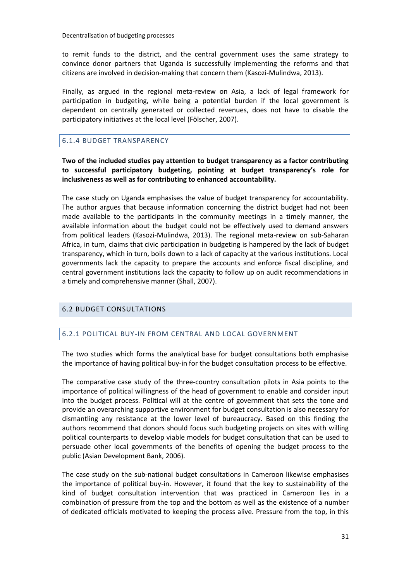to remit funds to the district, and the central government uses the same strategy to convince donor partners that Uganda is successfully implementing the reforms and that citizens are involved in decision-making that concern them (Kasozi-Mulindwa, 2013).

Finally, as argued in the regional meta-review on Asia, a lack of legal framework for participation in budgeting, while being a potential burden if the local government is dependent on centrally generated or collected revenues, does not have to disable the participatory initiatives at the local level (Fölscher, 2007).

# <span id="page-32-0"></span>6.1.4 BUDGET TRANSPARENCY

**Two of the included studies pay attention to budget transparency as a factor contributing to successful participatory budgeting, pointing at budget transparency's role for inclusiveness as well as for contributing to enhanced accountability.** 

The case study on Uganda emphasises the value of budget transparency for accountability. The author argues that because information concerning the district budget had not been made available to the participants in the community meetings in a timely manner, the available information about the budget could not be effectively used to demand answers from political leaders (Kasozi-Mulindwa, 2013). The regional meta-review on sub-Saharan Africa, in turn, claims that civic participation in budgeting is hampered by the lack of budget transparency, which in turn, boils down to a lack of capacity at the various institutions. Local governments lack the capacity to prepare the accounts and enforce fiscal discipline, and central government institutions lack the capacity to follow up on audit recommendations in a timely and comprehensive manner (Shall, 2007).

# <span id="page-32-2"></span><span id="page-32-1"></span>6.2 BUDGET CONSULTATIONS

#### 6.2.1 POLITICAL BUY-IN FROM CENTRAL AND LOCAL GOVERNMENT

The two studies which forms the analytical base for budget consultations both emphasise the importance of having political buy-in for the budget consultation process to be effective.

The comparative case study of the three-country consultation pilots in Asia points to the importance of political willingness of the head of government to enable and consider input into the budget process. Political will at the centre of government that sets the tone and provide an overarching supportive environment for budget consultation is also necessary for dismantling any resistance at the lower level of bureaucracy. Based on this finding the authors recommend that donors should focus such budgeting projects on sites with willing political counterparts to develop viable models for budget consultation that can be used to persuade other local governments of the benefits of opening the budget process to the public (Asian Development Bank, 2006).

The case study on the sub-national budget consultations in Cameroon likewise emphasises the importance of political buy-in. However, it found that the key to sustainability of the kind of budget consultation intervention that was practiced in Cameroon lies in a combination of pressure from the top and the bottom as well as the existence of a number of dedicated officials motivated to keeping the process alive. Pressure from the top, in this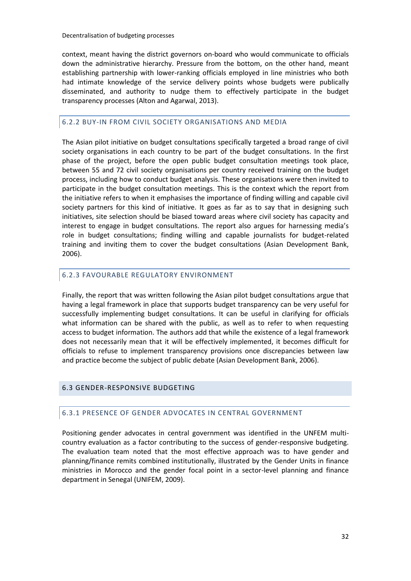context, meant having the district governors on-board who would communicate to officials down the administrative hierarchy. Pressure from the bottom, on the other hand, meant establishing partnership with lower-ranking officials employed in line ministries who both had intimate knowledge of the service delivery points whose budgets were publically disseminated, and authority to nudge them to effectively participate in the budget transparency processes (Alton and Agarwal, 2013).

#### <span id="page-33-0"></span>6.2.2 BUY-IN FROM CIVIL SOCIETY ORGANISATIONS AND MEDIA

The Asian pilot initiative on budget consultations specifically targeted a broad range of civil society organisations in each country to be part of the budget consultations. In the first phase of the project, before the open public budget consultation meetings took place, between 55 and 72 civil society organisations per country received training on the budget process, including how to conduct budget analysis. These organisations were then invited to participate in the budget consultation meetings. This is the context which the report from the initiative refers to when it emphasises the importance of finding willing and capable civil society partners for this kind of initiative. It goes as far as to say that in designing such initiatives, site selection should be biased toward areas where civil society has capacity and interest to engage in budget consultations. The report also argues for harnessing media's role in budget consultations; finding willing and capable journalists for budget-related training and inviting them to cover the budget consultations (Asian Development Bank, 2006).

#### <span id="page-33-1"></span>6.2.3 FAVOURABLE REGULATORY ENVIRONMENT

Finally, the report that was written following the Asian pilot budget consultations argue that having a legal framework in place that supports budget transparency can be very useful for successfully implementing budget consultations. It can be useful in clarifying for officials what information can be shared with the public, as well as to refer to when requesting access to budget information. The authors add that while the existence of a legal framework does not necessarily mean that it will be effectively implemented, it becomes difficult for officials to refuse to implement transparency provisions once discrepancies between law and practice become the subject of public debate (Asian Development Bank, 2006).

#### <span id="page-33-3"></span><span id="page-33-2"></span>6.3 GENDER-RESPONSIVE BUDGETING

#### 6.3.1 PRESENCE OF GENDER ADVOCATES IN CENTRAL GOVERNMENT

Positioning gender advocates in central government was identified in the UNFEM multicountry evaluation as a factor contributing to the success of gender-responsive budgeting. The evaluation team noted that the most effective approach was to have gender and planning/finance remits combined institutionally, illustrated by the Gender Units in finance ministries in Morocco and the gender focal point in a sector-level planning and finance department in Senegal (UNIFEM, 2009).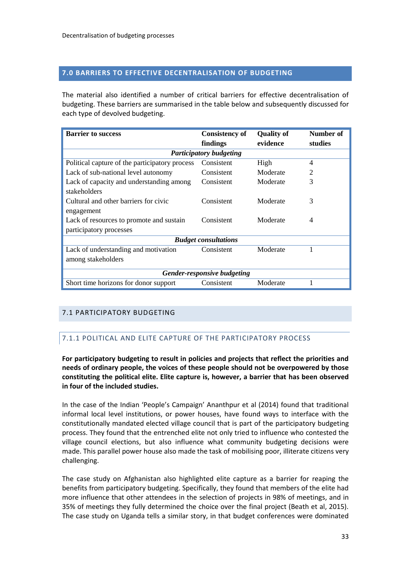#### <span id="page-34-0"></span>**7.0 BARRIERS TO EFFECTIVE DECENTRALISATION OF BUDGETING**

The material also identified a number of critical barriers for effective decentralisation of budgeting. These barriers are summarised in the table below and subsequently discussed for each type of devolved budgeting.

| <b>Barrier to success</b>                      | <b>Consistency of</b> | <b>Quality of</b> | Number of |  |  |
|------------------------------------------------|-----------------------|-------------------|-----------|--|--|
|                                                | findings              | evidence          | studies   |  |  |
| <b>Participatory budgeting</b>                 |                       |                   |           |  |  |
| Political capture of the participatory process | Consistent            | High              | 4         |  |  |
| Lack of sub-national level autonomy            | Consistent            | Moderate          | 2         |  |  |
| Lack of capacity and understanding among       | Consistent            | Moderate          | 3         |  |  |
| stakeholders                                   |                       |                   |           |  |  |
| Cultural and other barriers for civic          | Consistent            | Moderate          | 3         |  |  |
| engagement                                     |                       |                   |           |  |  |
| Lack of resources to promote and sustain       | Consistent            | Moderate          | 4         |  |  |
| participatory processes                        |                       |                   |           |  |  |
| <b>Budget consultations</b>                    |                       |                   |           |  |  |
| Lack of understanding and motivation           | Consistent            | Moderate          | 1         |  |  |
| among stakeholders                             |                       |                   |           |  |  |
|                                                |                       |                   |           |  |  |
| Gender-responsive budgeting                    |                       |                   |           |  |  |
| Short time horizons for donor support          | Consistent            | Moderate          |           |  |  |

#### <span id="page-34-2"></span><span id="page-34-1"></span>7.1 PARTICIPATORY BUDGETING

#### 7.1.1 POLITICAL AND ELITE CAPTURE OF THE PARTICIPATORY PROCESS

**For participatory budgeting to result in policies and projects that reflect the priorities and needs of ordinary people, the voices of these people should not be overpowered by those constituting the political elite. Elite capture is, however, a barrier that has been observed in four of the included studies.** 

In the case of the Indian 'People's Campaign' Ananthpur et al (2014) found that traditional informal local level institutions, or power houses, have found ways to interface with the constitutionally mandated elected village council that is part of the participatory budgeting process. They found that the entrenched elite not only tried to influence who contested the village council elections, but also influence what community budgeting decisions were made. This parallel power house also made the task of mobilising poor, illiterate citizens very challenging.

The case study on Afghanistan also highlighted elite capture as a barrier for reaping the benefits from participatory budgeting. Specifically, they found that members of the elite had more influence that other attendees in the selection of projects in 98% of meetings, and in 35% of meetings they fully determined the choice over the final project (Beath et al, 2015). The case study on Uganda tells a similar story, in that budget conferences were dominated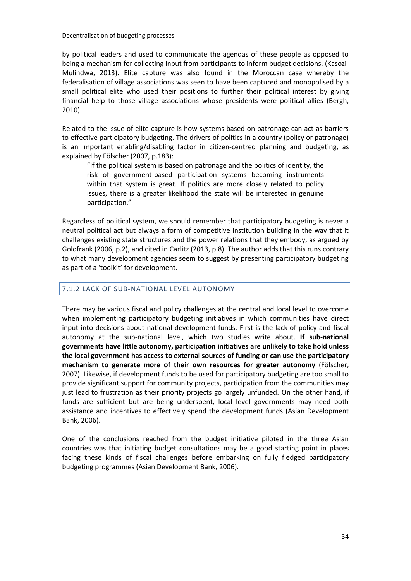by political leaders and used to communicate the agendas of these people as opposed to being a mechanism for collecting input from participants to inform budget decisions. (Kasozi-Mulindwa, 2013). Elite capture was also found in the Moroccan case whereby the federalisation of village associations was seen to have been captured and monopolised by a small political elite who used their positions to further their political interest by giving financial help to those village associations whose presidents were political allies (Bergh, 2010).

Related to the issue of elite capture is how systems based on patronage can act as barriers to effective participatory budgeting. The drivers of politics in a country (policy or patronage) is an important enabling/disabling factor in citizen-centred planning and budgeting, as explained by Fölscher (2007, p.183):

"If the political system is based on patronage and the politics of identity, the risk of government-based participation systems becoming instruments within that system is great. If politics are more closely related to policy issues, there is a greater likelihood the state will be interested in genuine participation."

Regardless of political system, we should remember that participatory budgeting is never a neutral political act but always a form of competitive institution building in the way that it challenges existing state structures and the power relations that they embody, as argued by Goldfrank (2006, p.2), and cited in Carlitz (2013, p.8). The author adds that this runs contrary to what many development agencies seem to suggest by presenting participatory budgeting as part of a 'toolkit' for development.

#### <span id="page-35-0"></span>7.1.2 LACK OF SUB-NATIONAL LEVEL AUTONOMY

There may be various fiscal and policy challenges at the central and local level to overcome when implementing participatory budgeting initiatives in which communities have direct input into decisions about national development funds. First is the lack of policy and fiscal autonomy at the sub-national level, which two studies write about. **If sub-national governments have little autonomy, participation initiatives are unlikely to take hold unless the local government has access to external sources of funding or can use the participatory mechanism to generate more of their own resources for greater autonomy** (Fölscher, 2007). Likewise, if development funds to be used for participatory budgeting are too small to provide significant support for community projects, participation from the communities may just lead to frustration as their priority projects go largely unfunded. On the other hand, if funds are sufficient but are being underspent, local level governments may need both assistance and incentives to effectively spend the development funds (Asian Development Bank, 2006).

One of the conclusions reached from the budget initiative piloted in the three Asian countries was that initiating budget consultations may be a good starting point in places facing these kinds of fiscal challenges before embarking on fully fledged participatory budgeting programmes (Asian Development Bank, 2006).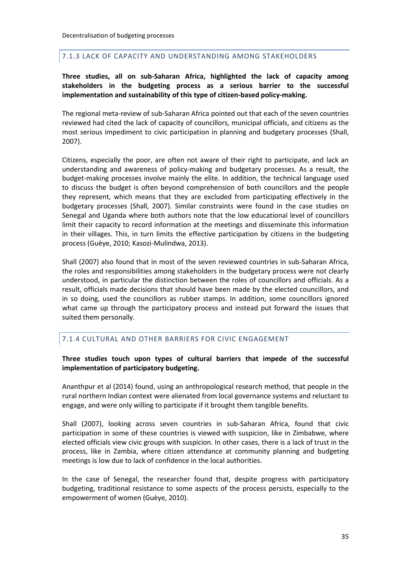#### <span id="page-36-0"></span>7.1.3 LACK OF CAPACITY AND UNDERSTANDING AMONG STAKEHOLDERS

#### **Three studies, all on sub-Saharan Africa, highlighted the lack of capacity among stakeholders in the budgeting process as a serious barrier to the successful implementation and sustainability of this type of citizen-based policy-making.**

The regional meta-review of sub-Saharan Africa pointed out that each of the seven countries reviewed had cited the lack of capacity of councillors, municipal officials, and citizens as the most serious impediment to civic participation in planning and budgetary processes (Shall, 2007).

Citizens, especially the poor, are often not aware of their right to participate, and lack an understanding and awareness of policy-making and budgetary processes. As a result, the budget-making processes involve mainly the elite. In addition, the technical language used to discuss the budget is often beyond comprehension of both councillors and the people they represent, which means that they are excluded from participating effectively in the budgetary processes (Shall, 2007). Similar constraints were found in the case studies on Senegal and Uganda where both authors note that the low educational level of councillors limit their capacity to record information at the meetings and disseminate this information in their villages. This, in turn limits the effective participation by citizens in the budgeting process (Guèye, 2010; Kasozi-Mulindwa, 2013).

Shall (2007) also found that in most of the seven reviewed countries in sub-Saharan Africa, the roles and responsibilities among stakeholders in the budgetary process were not clearly understood, in particular the distinction between the roles of councillors and officials. As a result, officials made decisions that should have been made by the elected councillors, and in so doing, used the councillors as rubber stamps. In addition, some councillors ignored what came up through the participatory process and instead put forward the issues that suited them personally.

#### <span id="page-36-1"></span>7.1.4 CULTURAL AND OTHER BARRIERS FOR CIVIC ENGAGEMENT

#### **Three studies touch upon types of cultural barriers that impede of the successful implementation of participatory budgeting.**

Ananthpur et al (2014) found, using an anthropological research method, that people in the rural northern Indian context were alienated from local governance systems and reluctant to engage, and were only willing to participate if it brought them tangible benefits.

Shall (2007), looking across seven countries in sub-Saharan Africa, found that civic participation in some of these countries is viewed with suspicion, like in Zimbabwe, where elected officials view civic groups with suspicion. In other cases, there is a lack of trust in the process, like in Zambia, where citizen attendance at community planning and budgeting meetings is low due to lack of confidence in the local authorities.

In the case of Senegal, the researcher found that, despite progress with participatory budgeting, traditional resistance to some aspects of the process persists, especially to the empowerment of women (Guèye, 2010).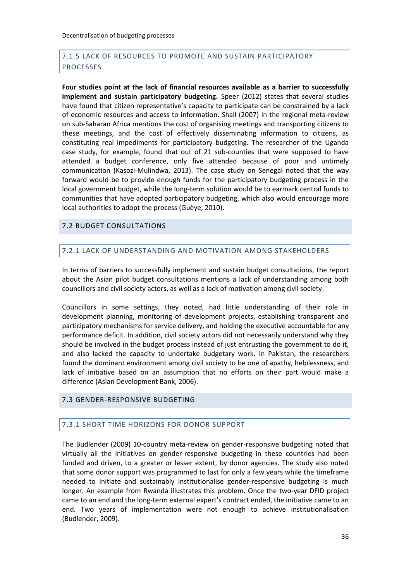# <span id="page-37-0"></span>7.1.5 LACK OF RESOURCES TO PROMOTE AND SUSTAIN PARTICIPATORY PROCESSES

**Four studies point at the lack of financial resources available as a barrier to successfully implement and sustain participatory budgeting.** Speer (2012) states that several studies have found that citizen representative's capacity to participate can be constrained by a lack of economic resources and access to information. Shall (2007) in the regional meta-review on sub-Saharan Africa mentions the cost of organising meetings and transporting citizens to these meetings, and the cost of effectively disseminating information to citizens, as constituting real impediments for participatory budgeting. The researcher of the Uganda case study, for example, found that out of 21 sub-counties that were supposed to have attended a budget conference, only five attended because of poor and untimely communication (Kasozi-Mulindwa, 2013). The case study on Senegal noted that the way forward would be to provide enough funds for the participatory budgeting process in the local government budget, while the long-term solution would be to earmark central funds to communities that have adopted participatory budgeting, which also would encourage more local authorities to adopt the process (Guèye, 2010).

#### <span id="page-37-2"></span><span id="page-37-1"></span>7.2 BUDGET CONSULTATIONS

# 7.2.1 LACK OF UNDERSTANDING AND MOTIVATION AMONG STAKEHOLDERS

In terms of barriers to successfully implement and sustain budget consultations, the report about the Asian pilot budget consultations mentions a lack of understanding among both councillors and civil society actors, as well as a lack of motivation among civil society.

Councillors in some settings, they noted, had little understanding of their role in development planning, monitoring of development projects, establishing transparent and participatory mechanisms for service delivery, and holding the executive accountable for any performance deficit. In addition, civil society actors did not necessarily understand why they should be involved in the budget process instead of just entrusting the government to do it, and also lacked the capacity to undertake budgetary work. In Pakistan, the researchers found the dominant environment among civil society to be one of apathy, helplessness, and lack of initiative based on an assumption that no efforts on their part would make a difference (Asian Development Bank, 2006).

#### <span id="page-37-4"></span><span id="page-37-3"></span>7.3 GENDER-RESPONSIVE BUDGETING

#### 7.3.1 SHORT TIME HORIZONS FOR DONOR SUPPORT

The Budlender (2009) 10-country meta-review on gender-responsive budgeting noted that virtually all the initiatives on gender-responsive budgeting in these countries had been funded and driven, to a greater or lesser extent, by donor agencies. The study also noted that some donor support was programmed to last for only a few years while the timeframe needed to initiate and sustainably institutionalise gender-responsive budgeting is much longer. An example from Rwanda illustrates this problem. Once the two-year DFID project came to an end and the long-term external expert's contract ended, the initiative came to an end. Two years of implementation were not enough to achieve institutionalisation (Budlender, 2009).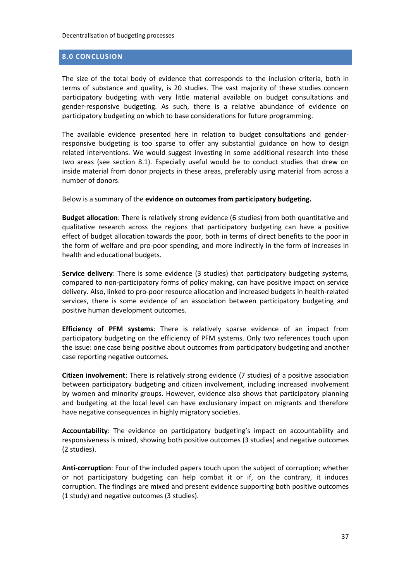# <span id="page-38-0"></span>**8.0 CONCLUSION**

The size of the total body of evidence that corresponds to the inclusion criteria, both in terms of substance and quality, is 20 studies. The vast majority of these studies concern participatory budgeting with very little material available on budget consultations and gender-responsive budgeting. As such, there is a relative abundance of evidence on participatory budgeting on which to base considerations for future programming.

The available evidence presented here in relation to budget consultations and genderresponsive budgeting is too sparse to offer any substantial guidance on how to design related interventions. We would suggest investing in some additional research into these two areas (see section 8.1). Especially useful would be to conduct studies that drew on inside material from donor projects in these areas, preferably using material from across a number of donors.

Below is a summary of the **evidence on outcomes from participatory budgeting.**

**Budget allocation**: There is relatively strong evidence (6 studies) from both quantitative and qualitative research across the regions that participatory budgeting can have a positive effect of budget allocation towards the poor, both in terms of direct benefits to the poor in the form of welfare and pro-poor spending, and more indirectly in the form of increases in health and educational budgets.

**Service delivery**: There is some evidence (3 studies) that participatory budgeting systems, compared to non-participatory forms of policy making, can have positive impact on service delivery. Also, linked to pro-poor resource allocation and increased budgets in health-related services, there is some evidence of an association between participatory budgeting and positive human development outcomes.

**Efficiency of PFM systems**: There is relatively sparse evidence of an impact from participatory budgeting on the efficiency of PFM systems. Only two references touch upon the issue: one case being positive about outcomes from participatory budgeting and another case reporting negative outcomes.

**Citizen involvement**: There is relatively strong evidence (7 studies) of a positive association between participatory budgeting and citizen involvement, including increased involvement by women and minority groups. However, evidence also shows that participatory planning and budgeting at the local level can have exclusionary impact on migrants and therefore have negative consequences in highly migratory societies.

**Accountability**: The evidence on participatory budgeting's impact on accountability and responsiveness is mixed, showing both positive outcomes (3 studies) and negative outcomes (2 studies).

**Anti-corruption**: Four of the included papers touch upon the subject of corruption; whether or not participatory budgeting can help combat it or if, on the contrary, it induces corruption. The findings are mixed and present evidence supporting both positive outcomes (1 study) and negative outcomes (3 studies).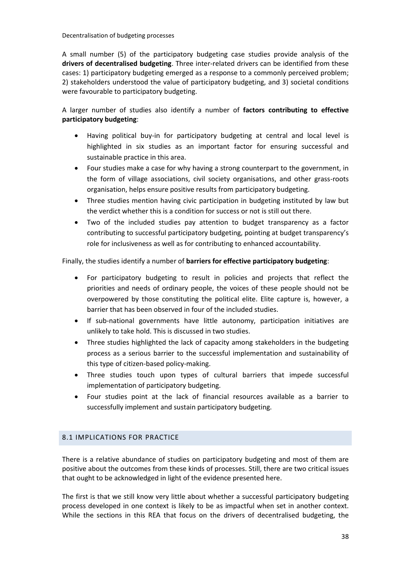A small number (5) of the participatory budgeting case studies provide analysis of the **drivers of decentralised budgeting**. Three inter-related drivers can be identified from these cases: 1) participatory budgeting emerged as a response to a commonly perceived problem; 2) stakeholders understood the value of participatory budgeting, and 3) societal conditions were favourable to participatory budgeting.

A larger number of studies also identify a number of **factors contributing to effective participatory budgeting**:

- Having political buy-in for participatory budgeting at central and local level is highlighted in six studies as an important factor for ensuring successful and sustainable practice in this area.
- Four studies make a case for why having a strong counterpart to the government, in the form of village associations, civil society organisations, and other grass-roots organisation, helps ensure positive results from participatory budgeting.
- Three studies mention having civic participation in budgeting instituted by law but the verdict whether this is a condition for success or not is still out there.
- Two of the included studies pay attention to budget transparency as a factor contributing to successful participatory budgeting, pointing at budget transparency's role for inclusiveness as well as for contributing to enhanced accountability.

#### Finally, the studies identify a number of **barriers for effective participatory budgeting**:

- For participatory budgeting to result in policies and projects that reflect the priorities and needs of ordinary people, the voices of these people should not be overpowered by those constituting the political elite. Elite capture is, however, a barrier that has been observed in four of the included studies.
- If sub-national governments have little autonomy, participation initiatives are unlikely to take hold. This is discussed in two studies.
- Three studies highlighted the lack of capacity among stakeholders in the budgeting process as a serious barrier to the successful implementation and sustainability of this type of citizen-based policy-making.
- Three studies touch upon types of cultural barriers that impede successful implementation of participatory budgeting.
- Four studies point at the lack of financial resources available as a barrier to successfully implement and sustain participatory budgeting.

# <span id="page-39-0"></span>8.1 IMPLICATIONS FOR PRACTICE

There is a relative abundance of studies on participatory budgeting and most of them are positive about the outcomes from these kinds of processes. Still, there are two critical issues that ought to be acknowledged in light of the evidence presented here.

The first is that we still know very little about whether a successful participatory budgeting process developed in one context is likely to be as impactful when set in another context. While the sections in this REA that focus on the drivers of decentralised budgeting, the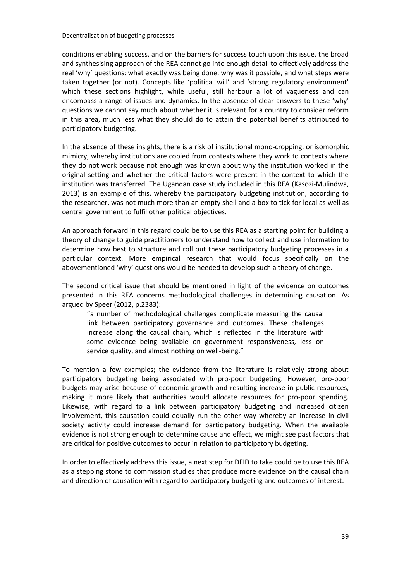conditions enabling success, and on the barriers for success touch upon this issue, the broad and synthesising approach of the REA cannot go into enough detail to effectively address the real 'why' questions: what exactly was being done, why was it possible, and what steps were taken together (or not). Concepts like 'political will' and 'strong regulatory environment' which these sections highlight, while useful, still harbour a lot of vagueness and can encompass a range of issues and dynamics. In the absence of clear answers to these 'why' questions we cannot say much about whether it is relevant for a country to consider reform in this area, much less what they should do to attain the potential benefits attributed to participatory budgeting.

In the absence of these insights, there is a risk of institutional mono-cropping, or isomorphic mimicry, whereby institutions are copied from contexts where they work to contexts where they do not work because not enough was known about why the institution worked in the original setting and whether the critical factors were present in the context to which the institution was transferred. The Ugandan case study included in this REA (Kasozi-Mulindwa, 2013) is an example of this, whereby the participatory budgeting institution, according to the researcher, was not much more than an empty shell and a box to tick for local as well as central government to fulfil other political objectives.

An approach forward in this regard could be to use this REA as a starting point for building a theory of change to guide practitioners to understand how to collect and use information to determine how best to structure and roll out these participatory budgeting processes in a particular context. More empirical research that would focus specifically on the abovementioned 'why' questions would be needed to develop such a theory of change.

The second critical issue that should be mentioned in light of the evidence on outcomes presented in this REA concerns methodological challenges in determining causation. As argued by Speer (2012, p.2383):

"a number of methodological challenges complicate measuring the causal link between participatory governance and outcomes. These challenges increase along the causal chain, which is reflected in the literature with some evidence being available on government responsiveness, less on service quality, and almost nothing on well-being."

To mention a few examples; the evidence from the literature is relatively strong about participatory budgeting being associated with pro-poor budgeting. However, pro-poor budgets may arise because of economic growth and resulting increase in public resources, making it more likely that authorities would allocate resources for pro-poor spending. Likewise, with regard to a link between participatory budgeting and increased citizen involvement, this causation could equally run the other way whereby an increase in civil society activity could increase demand for participatory budgeting. When the available evidence is not strong enough to determine cause and effect, we might see past factors that are critical for positive outcomes to occur in relation to participatory budgeting.

In order to effectively address this issue, a next step for DFID to take could be to use this REA as a stepping stone to commission studies that produce more evidence on the causal chain and direction of causation with regard to participatory budgeting and outcomes of interest.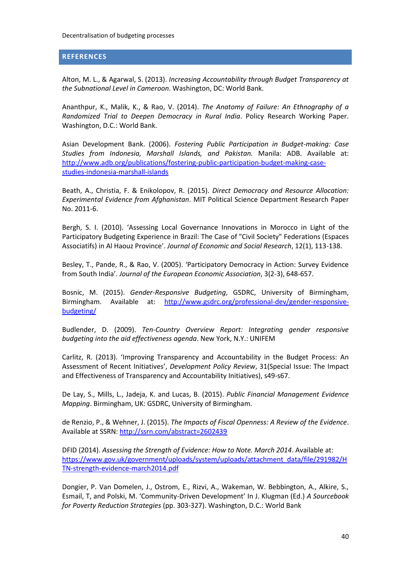#### <span id="page-41-0"></span>**REFERENCES**

Alton, M. L., & Agarwal, S. (2013). *Increasing Accountability through Budget Transparency at the Subnational Level in Cameroon*. Washington, DC: World Bank.

Ananthpur, K., Malik, K., & Rao, V. (2014). *The Anatomy of Failure: An Ethnography of a Randomized Trial to Deepen Democracy in Rural India*. Policy Research Working Paper. Washington, D.C.: World Bank.

Asian Development Bank. (2006). *Fostering Public Participation in Budget-making: Case Studies from Indonesia, Marshall Islands, and Pakistan.* Manila: ADB. Available at: [http://www.adb.org/publications/fostering-public-participation-budget-making-case](http://www.adb.org/publications/fostering-public-participation-budget-making-case-studies-indonesia-marshall-islands)[studies-indonesia-marshall-islands](http://www.adb.org/publications/fostering-public-participation-budget-making-case-studies-indonesia-marshall-islands)

Beath, A., Christia, F. & Enikolopov, R. (2015). *Direct Democracy and Resource Allocation: Experimental Evidence from Afghanistan*. MIT Political Science Department Research Paper No. 2011-6.

Bergh, S. I. (2010). 'Assessing Local Governance Innovations in Morocco in Light of the Participatory Budgeting Experience in Brazil: The Case of "Civil Society" Federations (Espaces Associatifs) in Al Haouz Province'. *Journal of Economic and Social Research*, 12(1), 113-138.

Besley, T., Pande, R., & Rao, V. (2005). 'Participatory Democracy in Action: Survey Evidence from South India'. *Journal of the European Economic Association*, 3(2-3), 648-657.

Bosnic, M. (2015). *Gender-Responsive Budgeting*, GSDRC, University of Birmingham, Birmingham. Available at: [http://www.gsdrc.org/professional-dev/gender-responsive](http://www.gsdrc.org/professional-dev/gender-responsive-budgeting/)[budgeting/](http://www.gsdrc.org/professional-dev/gender-responsive-budgeting/)

Budlender, D. (2009). *Ten-Country Overview Report: Integrating gender responsive budgeting into the aid effectiveness agenda*. New York, N.Y.: UNIFEM

Carlitz, R. (2013). 'Improving Transparency and Accountability in the Budget Process: An Assessment of Recent Initiatives', *Development Policy Review*, 31(Special Issue: The Impact and Effectiveness of Transparency and Accountability Initiatives), s49-s67.

De Lay, S., Mills, L., Jadeja, K. and Lucas, B. (2015). *Public Financial Management Evidence Mapping*. Birmingham, UK: GSDRC, University of Birmingham.

de Renzio, P., & Wehner, J. (2015). *The Impacts of Fiscal Openness: A Review of the Evidence*. Available at SSRN:<http://ssrn.com/abstract=2602439>

DFID (2014). *Assessing the Strength of Evidence: How to Note. March 2014*. Available at: [https://www.gov.uk/government/uploads/system/uploads/attachment\\_data/file/291982/H](https://www.gov.uk/government/uploads/system/uploads/attachment_data/file/291982/HTN-strength-evidence-march2014.pdf) [TN-strength-evidence-march2014.pdf](https://www.gov.uk/government/uploads/system/uploads/attachment_data/file/291982/HTN-strength-evidence-march2014.pdf)

Dongier, P. Van Domelen, J., Ostrom, E., Rizvi, A., Wakeman, W. Bebbington, A., Alkire, S., Esmail, T, and Polski, M. 'Community-Driven Development' In J. Klugman (Ed.) *A Sourcebook for Poverty Reduction Strategies* (pp. 303-327). Washington, D.C.: World Bank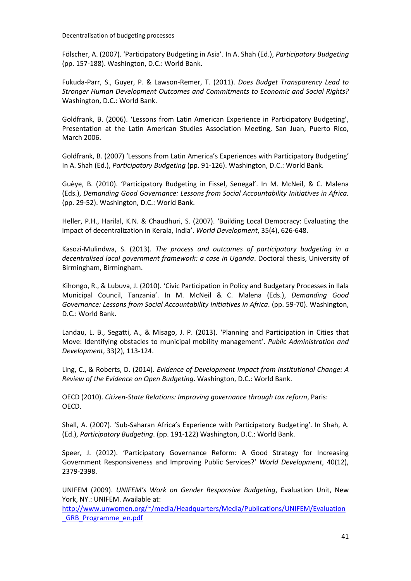Fölscher, A. (2007). 'Participatory Budgeting in Asia'. In A. Shah (Ed.), *Participatory Budgeting*  (pp. 157-188). Washington, D.C.: World Bank.

Fukuda-Parr, S., Guyer, P. & Lawson-Remer, T. (2011). *Does Budget Transparency Lead to Stronger Human Development Outcomes and Commitments to Economic and Social Rights?* Washington, D.C.: World Bank.

Goldfrank, B. (2006). 'Lessons from Latin American Experience in Participatory Budgeting', Presentation at the Latin American Studies Association Meeting, San Juan, Puerto Rico, March 2006.

Goldfrank, B. (2007) 'Lessons from Latin America's Experiences with Participatory Budgeting' In A. Shah (Ed.), *Participatory Budgeting* (pp. 91-126). Washington, D.C.: World Bank.

Guèye, B. (2010). 'Participatory Budgeting in Fissel, Senegal'. In M. McNeil, & C. Malena (Eds.), *Demanding Good Governance: Lessons from Social Accountability Initiatives in Africa.* (pp. 29-52). Washington, D.C.: World Bank.

Heller, P.H., Harilal, K.N. & Chaudhuri, S. (2007). 'Building Local Democracy: Evaluating the impact of decentralization in Kerala, India'. *World Development*, 35(4), 626-648.

Kasozi-Mulindwa, S. (2013). *The process and outcomes of participatory budgeting in a decentralised local government framework: a case in Uganda*. Doctoral thesis, University of Birmingham, Birmingham.

Kihongo, R., & Lubuva, J. (2010). 'Civic Participation in Policy and Budgetary Processes in Ilala Municipal Council, Tanzania'. In M. McNeil & C. Malena (Eds.), *Demanding Good Governance: Lessons from Social Accountability Initiatives in Africa*. (pp. 59-70). Washington, D.C.: World Bank.

Landau, L. B., Segatti, A., & Misago, J. P. (2013). 'Planning and Participation in Cities that Move: Identifying obstacles to municipal mobility management'. *Public Administration and Development*, 33(2), 113-124.

Ling, C., & Roberts, D. (2014). *Evidence of Development Impact from Institutional Change: A Review of the Evidence on Open Budgeting*. Washington, D.C.: World Bank.

OECD (2010). *Citizen-State Relations: Improving governance through tax reform*, Paris: OECD.

Shall, A. (2007). 'Sub-Saharan Africa's Experience with Participatory Budgeting'. In Shah, A. (Ed.), *Participatory Budgeting*. (pp. 191-122) Washington, D.C.: World Bank.

Speer, J. (2012). 'Participatory Governance Reform: A Good Strategy for Increasing Government Responsiveness and Improving Public Services?' *World Development*, 40(12), 2379-2398.

UNIFEM (2009). *UNIFEM's Work on Gender Responsive Budgeting*, Evaluation Unit, New York, NY.: UNIFEM. Available at:

[http://www.unwomen.org/~/media/Headquarters/Media/Publications/UNIFEM/Evaluation](http://www.unwomen.org/~/media/Headquarters/Media/Publications/UNIFEM/Evaluation_GRB_Programme_en.pdf) [\\_GRB\\_Programme\\_en.pdf](http://www.unwomen.org/~/media/Headquarters/Media/Publications/UNIFEM/Evaluation_GRB_Programme_en.pdf)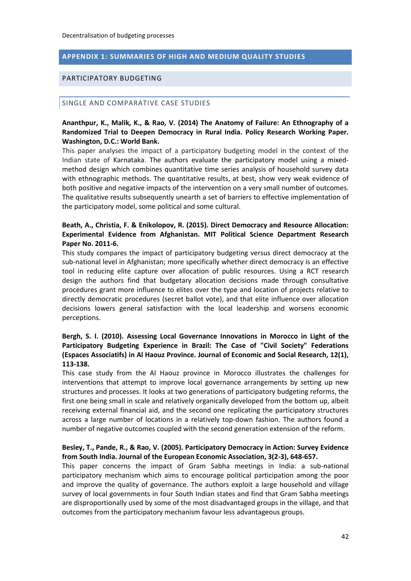#### <span id="page-43-0"></span>**APPENDIX 1: SUMMARIES OF HIGH AND MEDIUM QUALITY STUDIES**

#### <span id="page-43-1"></span>PARTICIPATORY BUDGETING

#### <span id="page-43-2"></span>SINGLE AND COMPARATIVE CASE STUDIES

#### **Ananthpur, K., Malik, K., & Rao, V. (2014) The Anatomy of Failure: An Ethnography of a Randomized Trial to Deepen Democracy in Rural India. Policy Research Working Paper. Washington, D.C.: World Bank.**

This paper analyses the impact of a participatory budgeting model in the context of the Indian state of Karnataka. The authors evaluate the participatory model using a mixedmethod design which combines quantitative time series analysis of household survey data with ethnographic methods. The quantitative results, at best, show very weak evidence of both positive and negative impacts of the intervention on a very small number of outcomes. The qualitative results subsequently unearth a set of barriers to effective implementation of the participatory model, some political and some cultural.

#### **Beath, A., Christia, F. & Enikolopov, R. (2015). Direct Democracy and Resource Allocation: Experimental Evidence from Afghanistan. MIT Political Science Department Research Paper No. 2011-6.**

This study compares the impact of participatory budgeting versus direct democracy at the sub-national level in Afghanistan; more specifically whether direct democracy is an effective tool in reducing elite capture over allocation of public resources. Using a RCT research design the authors find that budgetary allocation decisions made through consultative procedures grant more influence to elites over the type and location of projects relative to directly democratic procedures (secret ballot vote), and that elite influence over allocation decisions lowers general satisfaction with the local leadership and worsens economic perceptions.

#### **Bergh, S. I. (2010). Assessing Local Governance Innovations in Morocco in Light of the Participatory Budgeting Experience in Brazil: The Case of "Civil Society" Federations (Espaces Associatifs) in Al Haouz Province. Journal of Economic and Social Research, 12(1), 113-138.**

This case study from the Al Haouz province in Morocco illustrates the challenges for interventions that attempt to improve local governance arrangements by setting up new structures and processes. It looks at two generations of participatory budgeting reforms, the first one being small in scale and relatively organically developed from the bottom up, albeit receiving external financial aid, and the second one replicating the participatory structures across a large number of locations in a relatively top-down fashion. The authors found a number of negative outcomes coupled with the second generation extension of the reform.

#### **Besley, T., Pande, R., & Rao, V. (2005). Participatory Democracy in Action: Survey Evidence from South India. Journal of the European Economic Association, 3(2-3), 648-657.**

This paper concerns the impact of Gram Sabha meetings in India: a sub-national participatory mechanism which aims to encourage political participation among the poor and improve the quality of governance. The authors exploit a large household and village survey of local governments in four South Indian states and find that Gram Sabha meetings are disproportionally used by some of the most disadvantaged groups in the village, and that outcomes from the participatory mechanism favour less advantageous groups.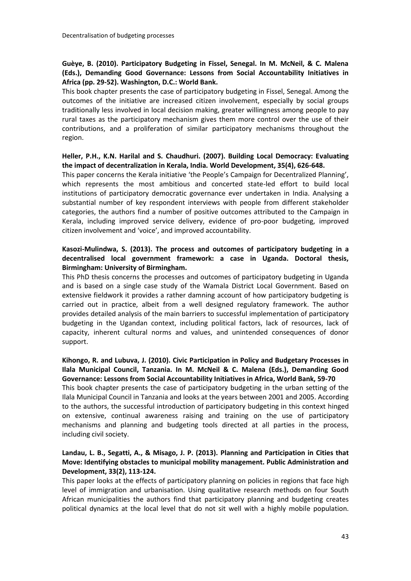# **Guèye, B. (2010). Participatory Budgeting in Fissel, Senegal. In M. McNeil, & C. Malena (Eds.), Demanding Good Governance: Lessons from Social Accountability Initiatives in Africa (pp. 29-52). Washington, D.C.: World Bank.**

This book chapter presents the case of participatory budgeting in Fissel, Senegal. Among the outcomes of the initiative are increased citizen involvement, especially by social groups traditionally less involved in local decision making, greater willingness among people to pay rural taxes as the participatory mechanism gives them more control over the use of their contributions, and a proliferation of similar participatory mechanisms throughout the region.

#### **Heller, P.H., K.N. Harilal and S. Chaudhuri. (2007). Building Local Democracy: Evaluating the impact of decentralization in Kerala, India. World Development, 35(4), 626-648.**

This paper concerns the Kerala initiative 'the People's Campaign for Decentralized Planning', which represents the most ambitious and concerted state-led effort to build local institutions of participatory democratic governance ever undertaken in India. Analysing a substantial number of key respondent interviews with people from different stakeholder categories, the authors find a number of positive outcomes attributed to the Campaign in Kerala, including improved service delivery, evidence of pro-poor budgeting, improved citizen involvement and 'voice', and improved accountability.

#### **Kasozi-Mulindwa, S. (2013). The process and outcomes of participatory budgeting in a decentralised local government framework: a case in Uganda. Doctoral thesis, Birmingham: University of Birmingham.**

This PhD thesis concerns the processes and outcomes of participatory budgeting in Uganda and is based on a single case study of the Wamala District Local Government. Based on extensive fieldwork it provides a rather damning account of how participatory budgeting is carried out in practice, albeit from a well designed regulatory framework. The author provides detailed analysis of the main barriers to successful implementation of participatory budgeting in the Ugandan context, including political factors, lack of resources, lack of capacity, inherent cultural norms and values, and unintended consequences of donor support.

#### **Kihongo, R. and Lubuva, J. (2010). Civic Participation in Policy and Budgetary Processes in Ilala Municipal Council, Tanzania. In M. McNeil & C. Malena (Eds.), Demanding Good Governance: Lessons from Social Accountability Initiatives in Africa, World Bank, 59-70**

This book chapter presents the case of participatory budgeting in the urban setting of the Ilala Municipal Council in Tanzania and looks at the years between 2001 and 2005. According to the authors, the successful introduction of participatory budgeting in this context hinged on extensive, continual awareness raising and training on the use of participatory mechanisms and planning and budgeting tools directed at all parties in the process, including civil society.

#### **Landau, L. B., Segatti, A., & Misago, J. P. (2013). Planning and Participation in Cities that Move: Identifying obstacles to municipal mobility management. Public Administration and Development, 33(2), 113-124.**

This paper looks at the effects of participatory planning on policies in regions that face high level of immigration and urbanisation. Using qualitative research methods on four South African municipalities the authors find that participatory planning and budgeting creates political dynamics at the local level that do not sit well with a highly mobile population.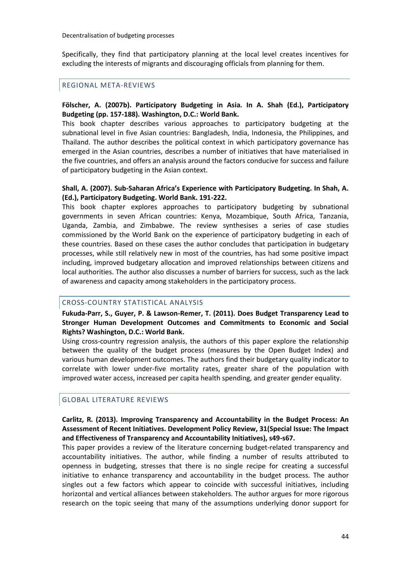Specifically, they find that participatory planning at the local level creates incentives for excluding the interests of migrants and discouraging officials from planning for them.

#### <span id="page-45-0"></span>REGIONAL META-REVIEWS

#### **Fölscher, A. (2007b). Participatory Budgeting in Asia. In A. Shah (Ed.), Participatory Budgeting (pp. 157-188). Washington, D.C.: World Bank.**

This book chapter describes various approaches to participatory budgeting at the subnational level in five Asian countries: Bangladesh, India, Indonesia, the Philippines, and Thailand. The author describes the political context in which participatory governance has emerged in the Asian countries, describes a number of initiatives that have materialised in the five countries, and offers an analysis around the factors conducive for success and failure of participatory budgeting in the Asian context.

#### **Shall, A. (2007). Sub-Saharan Africa's Experience with Participatory Budgeting. In Shah, A. (Ed.), Participatory Budgeting. World Bank. 191-222.**

This book chapter explores approaches to participatory budgeting by subnational governments in seven African countries: Kenya, Mozambique, South Africa, Tanzania, Uganda, Zambia, and Zimbabwe. The review synthesises a series of case studies commissioned by the World Bank on the experience of participatory budgeting in each of these countries. Based on these cases the author concludes that participation in budgetary processes, while still relatively new in most of the countries, has had some positive impact including, improved budgetary allocation and improved relationships between citizens and local authorities. The author also discusses a number of barriers for success, such as the lack of awareness and capacity among stakeholders in the participatory process.

#### <span id="page-45-1"></span>CROSS-COUNTRY STATISTICAL ANALYSIS

#### **Fukuda-Parr, S., Guyer, P. & Lawson-Remer, T. (2011). Does Budget Transparency Lead to Stronger Human Development Outcomes and Commitments to Economic and Social Rights? Washington, D.C.: World Bank.**

Using cross-country regression analysis, the authors of this paper explore the relationship between the quality of the budget process (measures by the Open Budget Index) and various human development outcomes. The authors find their budgetary quality indicator to correlate with lower under-five mortality rates, greater share of the population with improved water access, increased per capita health spending, and greater gender equality.

#### <span id="page-45-2"></span>GLOBAL LITERATURE REVIEWS

#### **Carlitz, R. (2013). Improving Transparency and Accountability in the Budget Process: An Assessment of Recent Initiatives. Development Policy Review, 31(Special Issue: The Impact and Effectiveness of Transparency and Accountability Initiatives), s49-s67.**

This paper provides a review of the literature concerning budget-related transparency and accountability initiatives. The author, while finding a number of results attributed to openness in budgeting, stresses that there is no single recipe for creating a successful initiative to enhance transparency and accountability in the budget process. The author singles out a few factors which appear to coincide with successful initiatives, including horizontal and vertical alliances between stakeholders. The author argues for more rigorous research on the topic seeing that many of the assumptions underlying donor support for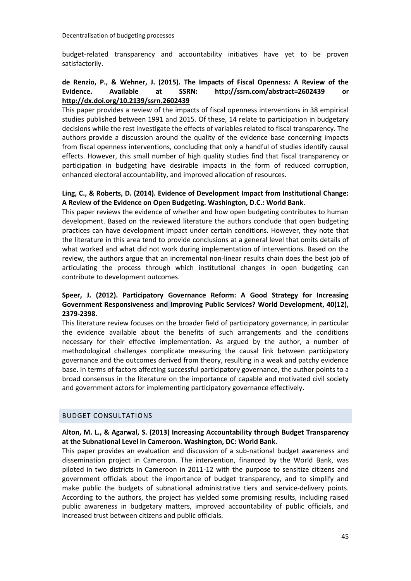budget-related transparency and accountability initiatives have yet to be proven satisfactorily.

#### **de Renzio, P., & Wehner, J. (2015). The Impacts of Fiscal Openness: A Review of the Evidence. Available at SSRN: <http://ssrn.com/abstract=2602439> or <http://dx.doi.org/10.2139/ssrn.2602439>**

This paper provides a review of the impacts of fiscal openness interventions in 38 empirical studies published between 1991 and 2015. Of these, 14 relate to participation in budgetary decisions while the rest investigate the effects of variables related to fiscal transparency. The authors provide a discussion around the quality of the evidence base concerning impacts from fiscal openness interventions, concluding that only a handful of studies identify causal effects. However, this small number of high quality studies find that fiscal transparency or participation in budgeting have desirable impacts in the form of reduced corruption, enhanced electoral accountability, and improved allocation of resources.

#### **Ling, C., & Roberts, D. (2014). Evidence of Development Impact from Institutional Change: A Review of the Evidence on Open Budgeting. Washington, D.C.: World Bank.**

This paper reviews the evidence of whether and how open budgeting contributes to human development. Based on the reviewed literature the authors conclude that open budgeting practices can have development impact under certain conditions. However, they note that the literature in this area tend to provide conclusions at a general level that omits details of what worked and what did not work during implementation of interventions. Based on the review, the authors argue that an incremental non-linear results chain does the best job of articulating the process through which institutional changes in open budgeting can contribute to development outcomes.

# **Speer, J. (2012). Participatory Governance Reform: A Good Strategy for Increasing Government Responsiveness and Improving Public Services? World Development, 40(12), 2379-2398.**

This literature review focuses on the broader field of participatory governance, in particular the evidence available about the benefits of such arrangements and the conditions necessary for their effective implementation. As argued by the author, a number of methodological challenges complicate measuring the causal link between participatory governance and the outcomes derived from theory, resulting in a weak and patchy evidence base. In terms of factors affecting successful participatory governance, the author points to a broad consensus in the literature on the importance of capable and motivated civil society and government actors for implementing participatory governance effectively.

# <span id="page-46-0"></span>BUDGET CONSULTATIONS

#### **Alton, M. L., & Agarwal, S. (2013) Increasing Accountability through Budget Transparency at the Subnational Level in Cameroon. Washington, DC: World Bank.**

This paper provides an evaluation and discussion of a sub-national budget awareness and dissemination project in Cameroon. The intervention, financed by the World Bank, was piloted in two districts in Cameroon in 2011-12 with the purpose to sensitize citizens and government officials about the importance of budget transparency, and to simplify and make public the budgets of subnational administrative tiers and service-delivery points. According to the authors, the project has yielded some promising results, including raised public awareness in budgetary matters, improved accountability of public officials, and increased trust between citizens and public officials.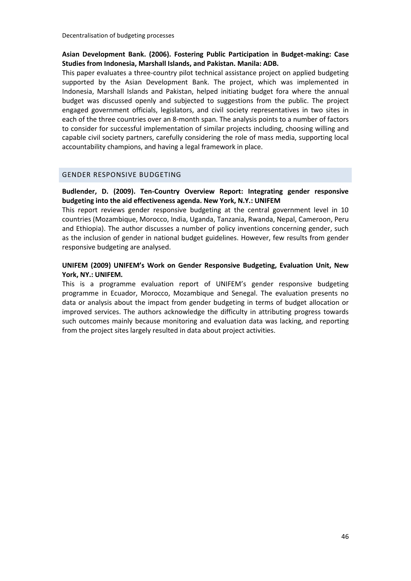#### **Asian Development Bank. (2006). Fostering Public Participation in Budget-making: Case Studies from Indonesia, Marshall Islands, and Pakistan. Manila: ADB.**

This paper evaluates a three-country pilot technical assistance project on applied budgeting supported by the Asian Development Bank. The project, which was implemented in Indonesia, Marshall Islands and Pakistan, helped initiating budget fora where the annual budget was discussed openly and subjected to suggestions from the public. The project engaged government officials, legislators, and civil society representatives in two sites in each of the three countries over an 8-month span. The analysis points to a number of factors to consider for successful implementation of similar projects including, choosing willing and capable civil society partners, carefully considering the role of mass media, supporting local accountability champions, and having a legal framework in place.

#### <span id="page-47-0"></span>GENDER RESPONSIVE BUDGETING

#### **Budlender, D. (2009). Ten-Country Overview Report: Integrating gender responsive budgeting into the aid effectiveness agenda. New York, N.Y.: UNIFEM**

This report reviews gender responsive budgeting at the central government level in 10 countries (Mozambique, Morocco, India, Uganda, Tanzania, Rwanda, Nepal, Cameroon, Peru and Ethiopia). The author discusses a number of policy inventions concerning gender, such as the inclusion of gender in national budget guidelines. However, few results from gender responsive budgeting are analysed.

#### **UNIFEM (2009) UNIFEM's Work on Gender Responsive Budgeting, Evaluation Unit, New York, NY.: UNIFEM.**

This is a programme evaluation report of UNIFEM's gender responsive budgeting programme in Ecuador, Morocco, Mozambique and Senegal. The evaluation presents no data or analysis about the impact from gender budgeting in terms of budget allocation or improved services. The authors acknowledge the difficulty in attributing progress towards such outcomes mainly because monitoring and evaluation data was lacking, and reporting from the project sites largely resulted in data about project activities.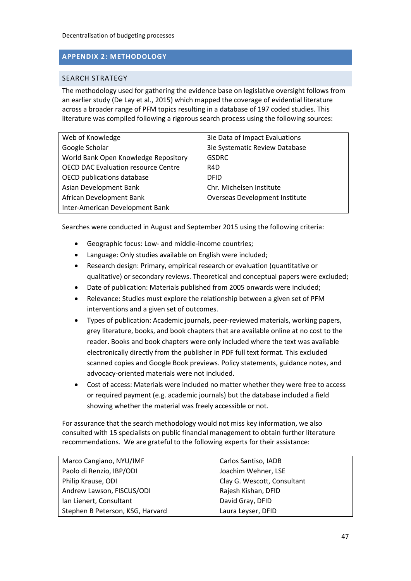# <span id="page-48-0"></span>**APPENDIX 2: METHODOLOGY**

#### <span id="page-48-1"></span>SEARCH STRATEGY

The methodology used for gathering the evidence base on legislative oversight follows from an earlier study (De Lay et al., 2015) which mapped the coverage of evidential literature across a broader range of PFM topics resulting in a database of 197 coded studies. This literature was compiled following a rigorous search process using the following sources:

| Web of Knowledge                           | 3ie Data of Impact Evaluations        |
|--------------------------------------------|---------------------------------------|
| Google Scholar                             | 3ie Systematic Review Database        |
| World Bank Open Knowledge Repository       | <b>GSDRC</b>                          |
| <b>OECD DAC Evaluation resource Centre</b> | R4D                                   |
| OECD publications database                 | <b>DFID</b>                           |
| Asian Development Bank                     | Chr. Michelsen Institute              |
| African Development Bank                   | <b>Overseas Development Institute</b> |
| Inter-American Development Bank            |                                       |

Searches were conducted in August and September 2015 using the following criteria:

- Geographic focus: Low- and middle-income countries;
- Language: Only studies available on English were included;
- Research design: Primary, empirical research or evaluation (quantitative or qualitative) or secondary reviews. Theoretical and conceptual papers were excluded;
- Date of publication: Materials published from 2005 onwards were included;
- Relevance: Studies must explore the relationship between a given set of PFM interventions and a given set of outcomes.
- Types of publication: Academic journals, peer-reviewed materials, working papers, grey literature, books, and book chapters that are available online at no cost to the reader. Books and book chapters were only included where the text was available electronically directly from the publisher in PDF full text format. This excluded scanned copies and Google Book previews. Policy statements, guidance notes, and advocacy-oriented materials were not included.
- Cost of access: Materials were included no matter whether they were free to access or required payment (e.g. academic journals) but the database included a field showing whether the material was freely accessible or not.

For assurance that the search methodology would not miss key information, we also consulted with 15 specialists on public financial management to obtain further literature recommendations. We are grateful to the following experts for their assistance:

| Marco Cangiano, NYU/IMF          | Carlos Santiso, IADB        |
|----------------------------------|-----------------------------|
| Paolo di Renzio, IBP/ODI         | Joachim Wehner, LSE         |
| Philip Krause, ODI               | Clay G. Wescott, Consultant |
| Andrew Lawson, FISCUS/ODI        | Rajesh Kishan, DFID         |
| Ian Lienert, Consultant          | David Gray, DFID            |
| Stephen B Peterson, KSG, Harvard | Laura Leyser, DFID          |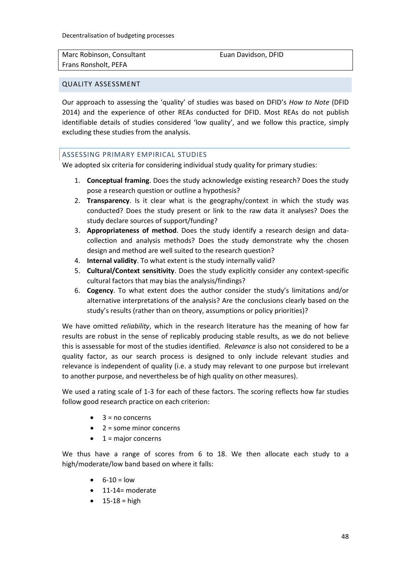| Marc Robinson, Consultant |  |
|---------------------------|--|
| Frans Ronsholt, PEFA      |  |

Euan Davidson, DFID

#### <span id="page-49-0"></span>QUALITY ASSESSMENT

Our approach to assessing the 'quality' of studies was based on DFID's *How to Note* (DFID 2014) and the experience of other REAs conducted for DFID. Most REAs do not publish identifiable details of studies considered 'low quality', and we follow this practice, simply excluding these studies from the analysis.

# <span id="page-49-1"></span>ASSESSING PRIMARY EMPIRICAL STUDIES

We adopted six criteria for considering individual study quality for primary studies:

- 1. **Conceptual framing**. Does the study acknowledge existing research? Does the study pose a research question or outline a hypothesis?
- 2. **Transparency**. Is it clear what is the geography/context in which the study was conducted? Does the study present or link to the raw data it analyses? Does the study declare sources of support/funding?
- 3. **Appropriateness of method**. Does the study identify a research design and datacollection and analysis methods? Does the study demonstrate why the chosen design and method are well suited to the research question?
- 4. **Internal validity**. To what extent is the study internally valid?
- 5. **Cultural/Context sensitivity**. Does the study explicitly consider any context-specific cultural factors that may bias the analysis/findings?
- 6. **Cogency**. To what extent does the author consider the study's limitations and/or alternative interpretations of the analysis? Are the conclusions clearly based on the study's results (rather than on theory, assumptions or policy priorities)?

We have omitted *reliability*, which in the research literature has the meaning of how far results are robust in the sense of replicably producing stable results, as we do not believe this is assessable for most of the studies identified. *Relevance* is also not considered to be a quality factor, as our search process is designed to only include relevant studies and relevance is independent of quality (i.e. a study may relevant to one purpose but irrelevant to another purpose, and nevertheless be of high quality on other measures).

We used a rating scale of 1-3 for each of these factors. The scoring reflects how far studies follow good research practice on each criterion:

- 3 = no concerns
- 2 = some minor concerns
- $\bullet$  1 = major concerns

We thus have a range of scores from 6 to 18. We then allocate each study to a high/moderate/low band based on where it falls:

- $6 10 = 10w$
- 11-14= moderate
- $15-18 =$ high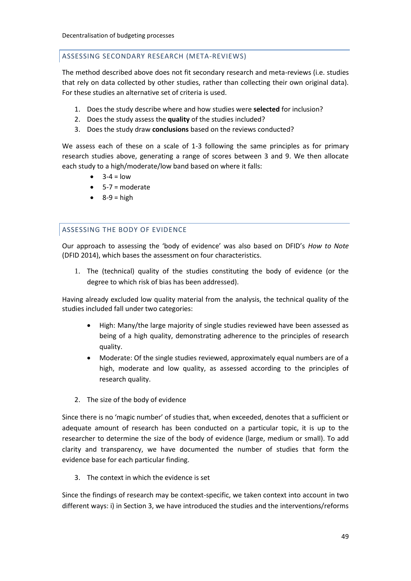#### <span id="page-50-0"></span>ASSESSING SECONDARY RESEARCH (META-REVIEWS)

The method described above does not fit secondary research and meta-reviews (i.e. studies that rely on data collected by other studies, rather than collecting their own original data). For these studies an alternative set of criteria is used.

- 1. Does the study describe where and how studies were **selected** for inclusion?
- 2. Does the study assess the **quality** of the studies included?
- 3. Does the study draw **conclusions** based on the reviews conducted?

We assess each of these on a scale of 1-3 following the same principles as for primary research studies above, generating a range of scores between 3 and 9. We then allocate each study to a high/moderate/low band based on where it falls:

- $3-4 = 10w$
- $-5-7$  = moderate
- $\bullet$  8-9 = high

# <span id="page-50-1"></span>ASSESSING THE BODY OF EVIDENCE

Our approach to assessing the 'body of evidence' was also based on DFID's *How to Note* (DFID 2014), which bases the assessment on four characteristics.

1. The (technical) quality of the studies constituting the body of evidence (or the degree to which risk of bias has been addressed).

Having already excluded low quality material from the analysis, the technical quality of the studies included fall under two categories:

- High: Many/the large majority of single studies reviewed have been assessed as being of a high quality, demonstrating adherence to the principles of research quality.
- Moderate: Of the single studies reviewed, approximately equal numbers are of a high, moderate and low quality, as assessed according to the principles of research quality.
- 2. The size of the body of evidence

Since there is no 'magic number' of studies that, when exceeded, denotes that a sufficient or adequate amount of research has been conducted on a particular topic, it is up to the researcher to determine the size of the body of evidence (large, medium or small). To add clarity and transparency, we have documented the number of studies that form the evidence base for each particular finding.

3. The context in which the evidence is set

Since the findings of research may be context‐specific, we taken context into account in two different ways: i) in Section 3, we have introduced the studies and the interventions/reforms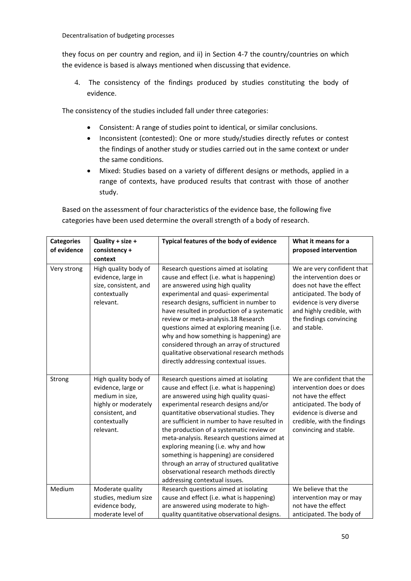they focus on per country and region, and ii) in Section 4-7 the country/countries on which the evidence is based is always mentioned when discussing that evidence.

4. The consistency of the findings produced by studies constituting the body of evidence.

The consistency of the studies included fall under three categories:

- Consistent: A range of studies point to identical, or similar conclusions.
- Inconsistent (contested): One or more study/studies directly refutes or contest the findings of another study or studies carried out in the same context or under the same conditions.
- Mixed: Studies based on a variety of different designs or methods, applied in a range of contexts, have produced results that contrast with those of another study.

Based on the assessment of four characteristics of the evidence base, the following five categories have been used determine the overall strength of a body of research.

| <b>Categories</b> | Quality + size +                                                                                                                      | Typical features of the body of evidence                                                                                                                                                                                                                                                                                                                                                                                                                                                                                                                              | What it means for a                                                                                                                                                                                               |
|-------------------|---------------------------------------------------------------------------------------------------------------------------------------|-----------------------------------------------------------------------------------------------------------------------------------------------------------------------------------------------------------------------------------------------------------------------------------------------------------------------------------------------------------------------------------------------------------------------------------------------------------------------------------------------------------------------------------------------------------------------|-------------------------------------------------------------------------------------------------------------------------------------------------------------------------------------------------------------------|
| of evidence       | consistency +                                                                                                                         |                                                                                                                                                                                                                                                                                                                                                                                                                                                                                                                                                                       | proposed intervention                                                                                                                                                                                             |
|                   | context                                                                                                                               |                                                                                                                                                                                                                                                                                                                                                                                                                                                                                                                                                                       |                                                                                                                                                                                                                   |
| Very strong       | High quality body of<br>evidence, large in<br>size, consistent, and<br>contextually<br>relevant.                                      | Research questions aimed at isolating<br>cause and effect (i.e. what is happening)<br>are answered using high quality<br>experimental and quasi- experimental<br>research designs, sufficient in number to<br>have resulted in production of a systematic<br>review or meta-analysis.18 Research<br>questions aimed at exploring meaning (i.e.<br>why and how something is happening) are<br>considered through an array of structured<br>qualitative observational research methods<br>directly addressing contextual issues.                                        | We are very confident that<br>the intervention does or<br>does not have the effect<br>anticipated. The body of<br>evidence is very diverse<br>and highly credible, with<br>the findings convincing<br>and stable. |
| Strong            | High quality body of<br>evidence, large or<br>medium in size,<br>highly or moderately<br>consistent, and<br>contextually<br>relevant. | Research questions aimed at isolating<br>cause and effect (i.e. what is happening)<br>are answered using high quality quasi-<br>experimental research designs and/or<br>quantitative observational studies. They<br>are sufficient in number to have resulted in<br>the production of a systematic review or<br>meta-analysis. Research questions aimed at<br>exploring meaning (i.e. why and how<br>something is happening) are considered<br>through an array of structured qualitative<br>observational research methods directly<br>addressing contextual issues. | We are confident that the<br>intervention does or does<br>not have the effect<br>anticipated. The body of<br>evidence is diverse and<br>credible, with the findings<br>convincing and stable.                     |
| Medium            | Moderate quality                                                                                                                      | Research questions aimed at isolating                                                                                                                                                                                                                                                                                                                                                                                                                                                                                                                                 | We believe that the                                                                                                                                                                                               |
|                   | studies, medium size                                                                                                                  | cause and effect (i.e. what is happening)                                                                                                                                                                                                                                                                                                                                                                                                                                                                                                                             | intervention may or may                                                                                                                                                                                           |
|                   | evidence body,                                                                                                                        | are answered using moderate to high-                                                                                                                                                                                                                                                                                                                                                                                                                                                                                                                                  | not have the effect                                                                                                                                                                                               |
|                   | moderate level of                                                                                                                     | quality quantitative observational designs.                                                                                                                                                                                                                                                                                                                                                                                                                                                                                                                           | anticipated. The body of                                                                                                                                                                                          |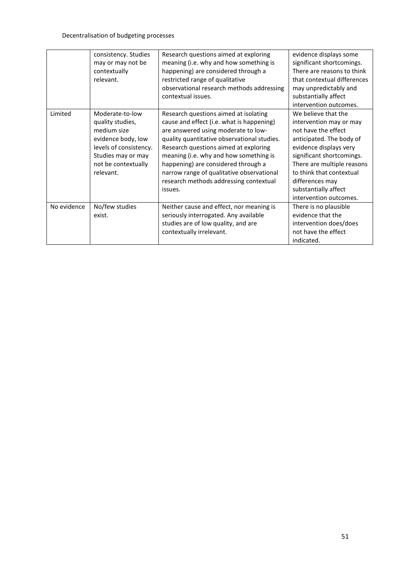|             | consistency. Studies   | Research questions aimed at exploring       | evidence displays some      |
|-------------|------------------------|---------------------------------------------|-----------------------------|
|             | may or may not be      | meaning (i.e. why and how something is      | significant shortcomings.   |
|             | contextually           | happening) are considered through a         | There are reasons to think  |
|             | relevant.              | restricted range of qualitative             | that contextual differences |
|             |                        | observational research methods addressing   | may unpredictably and       |
|             |                        | contextual issues.                          | substantially affect        |
|             |                        |                                             | intervention outcomes.      |
| Limited     | Moderate-to-low        | Research questions aimed at isolating       | We believe that the         |
|             | quality studies,       | cause and effect (i.e. what is happening)   | intervention may or may     |
|             | medium size            | are answered using moderate to low-         | not have the effect         |
|             | evidence body, low     | quality quantitative observational studies. | anticipated. The body of    |
|             | levels of consistency. | Research questions aimed at exploring       | evidence displays very      |
|             | Studies may or may     | meaning (i.e. why and how something is      | significant shortcomings.   |
|             | not be contextually    | happening) are considered through a         | There are multiple reasons  |
|             | relevant.              | narrow range of qualitative observational   | to think that contextual    |
|             |                        | research methods addressing contextual      | differences may             |
|             |                        | issues.                                     | substantially affect        |
|             |                        |                                             | intervention outcomes.      |
| No evidence | No/few studies         | Neither cause and effect, nor meaning is    | There is no plausible       |
|             | exist.                 | seriously interrogated. Any available       | evidence that the           |
|             |                        | studies are of low quality, and are         | intervention does/does      |
|             |                        | contextually irrelevant.                    | not have the effect         |
|             |                        |                                             | indicated.                  |